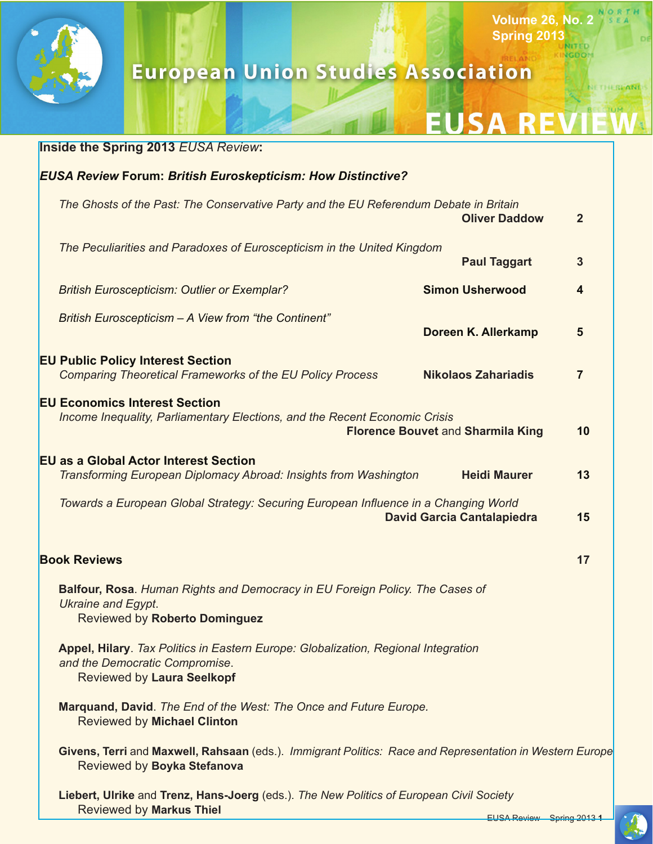

# **European Union Studies Association**

#### **EUS** A R

**Volume 26, No. 2 Spring 2013**

**NGDOM** 

ETHEREAND

| <b>Inside the Spring 2013 EUSA Review:</b>                                                                                                                     |                |
|----------------------------------------------------------------------------------------------------------------------------------------------------------------|----------------|
| <b>EUSA Review Forum: British Euroskepticism: How Distinctive?</b>                                                                                             |                |
| The Ghosts of the Past: The Conservative Party and the EU Referendum Debate in Britain<br><b>Oliver Daddow</b>                                                 | $\overline{2}$ |
| The Peculiarities and Paradoxes of Euroscepticism in the United Kingdom<br><b>Paul Taggart</b>                                                                 | $\mathbf{3}$   |
| <b>Simon Usherwood</b><br><b>British Euroscepticism: Outlier or Exemplar?</b>                                                                                  | 4              |
| British Euroscepticism - A View from "the Continent"<br>Doreen K. Allerkamp                                                                                    | 5              |
| <b>EU Public Policy Interest Section</b><br><b>Nikolaos Zahariadis</b><br><b>Comparing Theoretical Frameworks of the EU Policy Process</b>                     | $\overline{7}$ |
| <b>EU Economics Interest Section</b><br>Income Inequality, Parliamentary Elections, and the Recent Economic Crisis<br><b>Florence Bouvet and Sharmila King</b> | 10             |
| <b>EU as a Global Actor Interest Section</b><br><b>Heidi Maurer</b><br>Transforming European Diplomacy Abroad: Insights from Washington                        | 13             |
| Towards a European Global Strategy: Securing European Influence in a Changing World<br><b>David Garcia Cantalapiedra</b>                                       | 15             |
| <b>Book Reviews</b>                                                                                                                                            | 17             |
| Balfour, Rosa. Human Rights and Democracy in EU Foreign Policy. The Cases of<br><b>Ukraine and Egypt.</b><br><b>Reviewed by Roberto Dominguez</b>              |                |
| Appel, Hilary. Tax Politics in Eastern Europe: Globalization, Regional Integration<br>and the Democratic Compromise.<br>Reviewed by Laura Seelkopf             |                |
| Marquand, David. The End of the West: The Once and Future Europe.<br><b>Reviewed by Michael Clinton</b>                                                        |                |
| Givens, Terri and Maxwell, Rahsaan (eds.). Immigrant Politics: Race and Representation in Western Europe<br>Reviewed by Boyka Stefanova                        |                |
| Liebert, Ulrike and Trenz, Hans-Joerg (eds.). The New Politics of European Civil Society<br><b>Reviewed by Markus Thiel</b>                                    |                |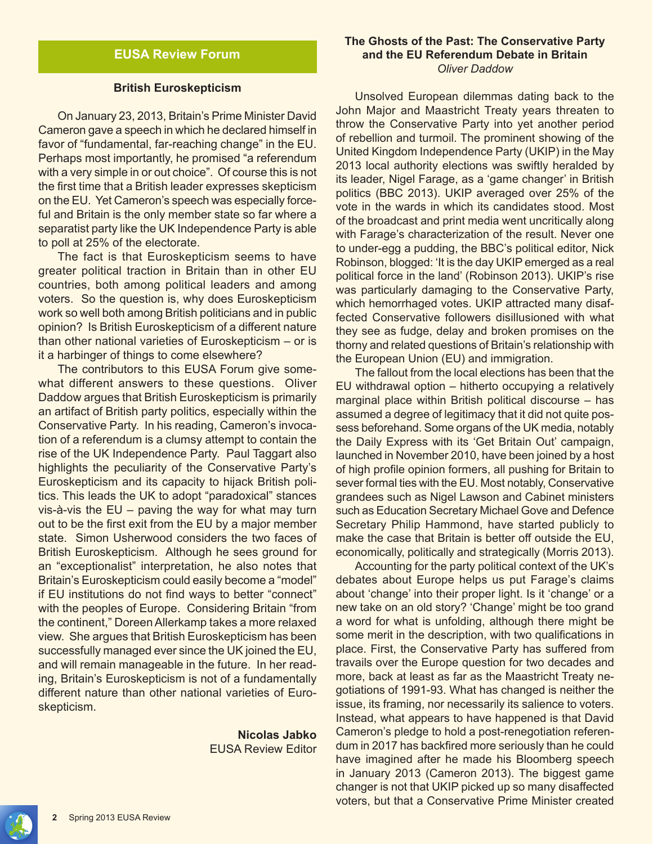#### **British Euroskepticism**

On January 23, 2013, Britain's Prime Minister David Cameron gave a speech in which he declared himself in favor of "fundamental, far-reaching change" in the EU. Perhaps most importantly, he promised "a referendum with a very simple in or out choice". Of course this is not the first time that a British leader expresses skepticism on the EU. Yet Cameron's speech was especially forceful and Britain is the only member state so far where a separatist party like the UK Independence Party is able to poll at 25% of the electorate.

The fact is that Euroskepticism seems to have greater political traction in Britain than in other EU countries, both among political leaders and among voters. So the question is, why does Euroskepticism work so well both among British politicians and in public opinion? Is British Euroskepticism of a different nature than other national varieties of Euroskepticism – or is it a harbinger of things to come elsewhere?

The contributors to this EUSA Forum give somewhat different answers to these questions. Oliver Daddow argues that British Euroskepticism is primarily an artifact of British party politics, especially within the Conservative Party. In his reading, Cameron's invocation of a referendum is a clumsy attempt to contain the rise of the UK Independence Party. Paul Taggart also highlights the peculiarity of the Conservative Party's Euroskepticism and its capacity to hijack British politics. This leads the UK to adopt "paradoxical" stances vis-à-vis the EU – paving the way for what may turn out to be the first exit from the EU by a major member state. Simon Usherwood considers the two faces of British Euroskepticism. Although he sees ground for an "exceptionalist" interpretation, he also notes that Britain's Euroskepticism could easily become a "model" if EU institutions do not find ways to better "connect" with the peoples of Europe. Considering Britain "from the continent," Doreen Allerkamp takes a more relaxed view. She argues that British Euroskepticism has been successfully managed ever since the UK joined the EU, and will remain manageable in the future. In her reading, Britain's Euroskepticism is not of a fundamentally different nature than other national varieties of Euroskepticism.

> **Nicolas Jabko** EUSA Review Editor

#### **The Ghosts of the Past: The Conservative Party and the EU Referendum Debate in Britain** *Oliver Daddow*

Unsolved European dilemmas dating back to the John Major and Maastricht Treaty years threaten to throw the Conservative Party into yet another period of rebellion and turmoil. The prominent showing of the United Kingdom Independence Party (UKIP) in the May 2013 local authority elections was swiftly heralded by its leader, Nigel Farage, as a 'game changer' in British politics (BBC 2013). UKIP averaged over 25% of the vote in the wards in which its candidates stood. Most of the broadcast and print media went uncritically along with Farage's characterization of the result. Never one to under-egg a pudding, the BBC's political editor, Nick Robinson, blogged: 'It is the day UKIP emerged as a real political force in the land' (Robinson 2013). UKIP's rise was particularly damaging to the Conservative Party, which hemorrhaged votes. UKIP attracted many disaffected Conservative followers disillusioned with what they see as fudge, delay and broken promises on the thorny and related questions of Britain's relationship with the European Union (EU) and immigration.

The fallout from the local elections has been that the EU withdrawal option – hitherto occupying a relatively marginal place within British political discourse – has assumed a degree of legitimacy that it did not quite possess beforehand. Some organs of the UK media, notably the Daily Express with its 'Get Britain Out' campaign, launched in November 2010, have been joined by a host of high profile opinion formers, all pushing for Britain to sever formal ties with the EU. Most notably, Conservative grandees such as Nigel Lawson and Cabinet ministers such as Education Secretary Michael Gove and Defence Secretary Philip Hammond, have started publicly to make the case that Britain is better off outside the EU, economically, politically and strategically (Morris 2013).

Accounting for the party political context of the UK's debates about Europe helps us put Farage's claims about 'change' into their proper light. Is it 'change' or a new take on an old story? 'Change' might be too grand a word for what is unfolding, although there might be some merit in the description, with two qualifications in place. First, the Conservative Party has suffered from travails over the Europe question for two decades and more, back at least as far as the Maastricht Treaty negotiations of 1991-93. What has changed is neither the issue, its framing, nor necessarily its salience to voters. Instead, what appears to have happened is that David Cameron's pledge to hold a post-renegotiation referendum in 2017 has backfired more seriously than he could have imagined after he made his Bloomberg speech in January 2013 (Cameron 2013). The biggest game changer is not that UKIP picked up so many disaffected voters, but that a Conservative Prime Minister created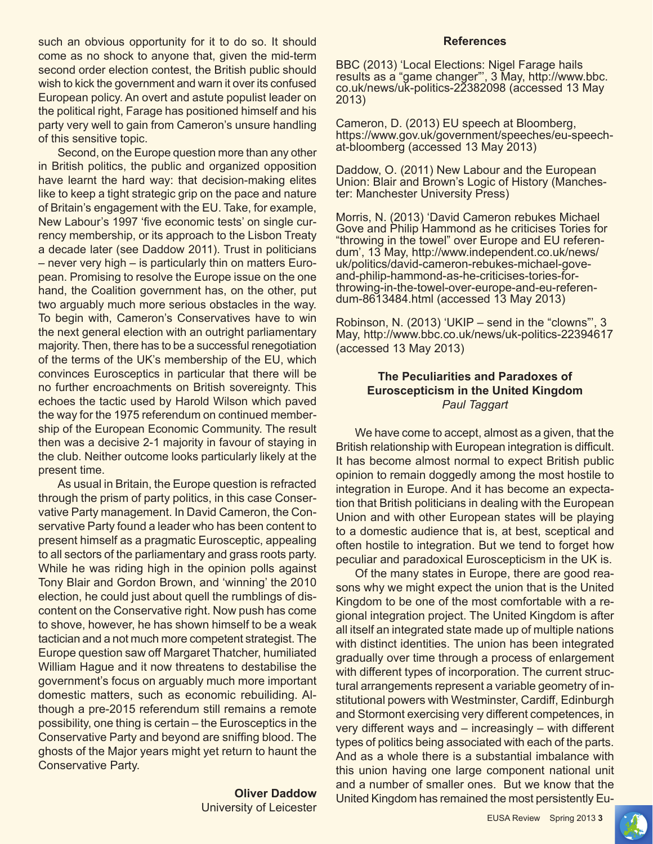such an obvious opportunity for it to do so. It should come as no shock to anyone that, given the mid-term second order election contest, the British public should wish to kick the government and warn it over its confused European policy. An overt and astute populist leader on the political right, Farage has positioned himself and his party very well to gain from Cameron's unsure handling of this sensitive topic.

Second, on the Europe question more than any other in British politics, the public and organized opposition have learnt the hard way: that decision-making elites like to keep a tight strategic grip on the pace and nature of Britain's engagement with the EU. Take, for example, New Labour's 1997 'five economic tests' on single currency membership, or its approach to the Lisbon Treaty a decade later (see Daddow 2011). Trust in politicians – never very high – is particularly thin on matters European. Promising to resolve the Europe issue on the one hand, the Coalition government has, on the other, put two arguably much more serious obstacles in the way. To begin with, Cameron's Conservatives have to win the next general election with an outright parliamentary majority. Then, there has to be a successful renegotiation of the terms of the UK's membership of the EU, which convinces Eurosceptics in particular that there will be no further encroachments on British sovereignty. This echoes the tactic used by Harold Wilson which paved the way for the 1975 referendum on continued membership of the European Economic Community. The result then was a decisive 2-1 majority in favour of staying in the club. Neither outcome looks particularly likely at the present time.

As usual in Britain, the Europe question is refracted through the prism of party politics, in this case Conservative Party management. In David Cameron, the Conservative Party found a leader who has been content to present himself as a pragmatic Eurosceptic, appealing to all sectors of the parliamentary and grass roots party. While he was riding high in the opinion polls against Tony Blair and Gordon Brown, and 'winning' the 2010 election, he could just about quell the rumblings of discontent on the Conservative right. Now push has come to shove, however, he has shown himself to be a weak tactician and a not much more competent strategist. The Europe question saw off Margaret Thatcher, humiliated William Hague and it now threatens to destabilise the government's focus on arguably much more important domestic matters, such as economic rebuiliding. Although a pre-2015 referendum still remains a remote possibility, one thing is certain – the Eurosceptics in the Conservative Party and beyond are sniffing blood. The ghosts of the Major years might yet return to haunt the Conservative Party.

> **Oliver Daddow** University of Leicester

#### **References**

BBC (2013) 'Local Elections: Nigel Farage hails results as a "game changer"', 3 May, http://www.bbc. co.uk/news/uk-politics-22382098 (accessed 13 May 2013)

Cameron, D. (2013) EU speech at Bloomberg, https://www.gov.uk/government/speeches/eu-speechat-bloomberg (accessed 13 May 2013)

Daddow, O. (2011) New Labour and the European Union: Blair and Brown's Logic of History (Manches- ter: Manchester University Press)

Morris, N. (2013) 'David Cameron rebukes Michael Gove and Philip Hammond as he criticises Tories for "throwing in the towel" over Europe and EU referendum', 13 May, http://www.independent.co.uk/news/ uk/politics/david-cameron-rebukes-michael-goveand-philip-hammond-as-he-criticises-tories-forthrowing-in-the-towel-over-europe-and-eu-referen- dum-8613484.html (accessed 13 May 2013)

Robinson, N. (2013) 'UKIP – send in the "clowns"', 3 May, http://www.bbc.co.uk/news/uk-politics-22394617 (accessed 13 May 2013)

#### **The Peculiarities and Paradoxes of Euroscepticism in the United Kingdom** *Paul Taggart*

We have come to accept, almost as a given, that the British relationship with European integration is difficult. It has become almost normal to expect British public opinion to remain doggedly among the most hostile to integration in Europe. And it has become an expectation that British politicians in dealing with the European Union and with other European states will be playing to a domestic audience that is, at best, sceptical and often hostile to integration. But we tend to forget how peculiar and paradoxical Euroscepticism in the UK is.

Of the many states in Europe, there are good reasons why we might expect the union that is the United Kingdom to be one of the most comfortable with a regional integration project. The United Kingdom is after all itself an integrated state made up of multiple nations with distinct identities. The union has been integrated gradually over time through a process of enlargement with different types of incorporation. The current structural arrangements represent a variable geometry of institutional powers with Westminster, Cardiff, Edinburgh and Stormont exercising very different competences, in very different ways and – increasingly – with different types of politics being associated with each of the parts. And as a whole there is a substantial imbalance with this union having one large component national unit and a number of smaller ones. But we know that the United Kingdom has remained the most persistently Eu-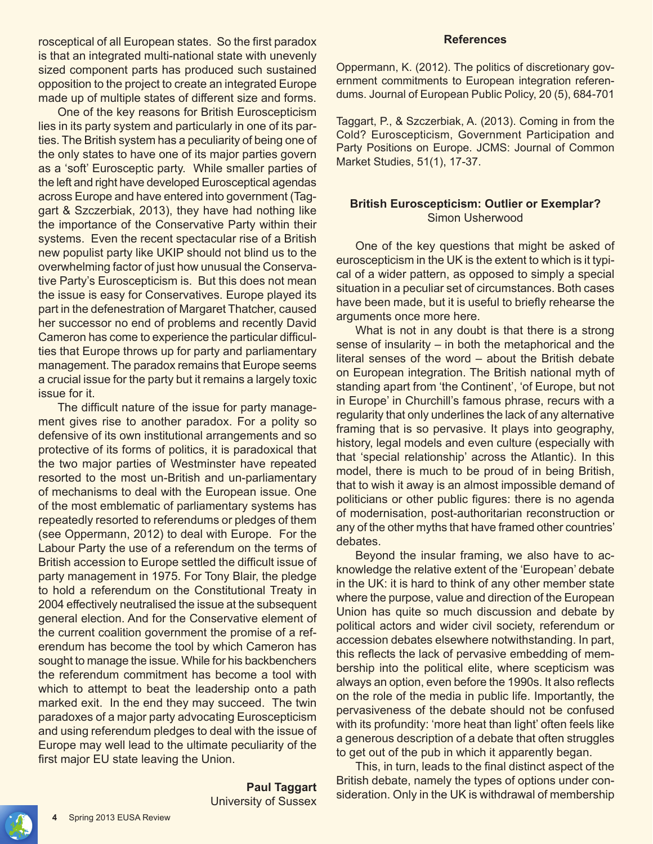rosceptical of all European states. So the first paradox is that an integrated multi-national state with unevenly sized component parts has produced such sustained opposition to the project to create an integrated Europe made up of multiple states of different size and forms.

One of the key reasons for British Euroscepticism lies in its party system and particularly in one of its parties. The British system has a peculiarity of being one of the only states to have one of its major parties govern as a 'soft' Eurosceptic party. While smaller parties of the left and right have developed Eurosceptical agendas across Europe and have entered into government (Taggart & Szczerbiak, 2013), they have had nothing like the importance of the Conservative Party within their systems. Even the recent spectacular rise of a British new populist party like UKIP should not blind us to the overwhelming factor of just how unusual the Conservative Party's Euroscepticism is. But this does not mean the issue is easy for Conservatives. Europe played its part in the defenestration of Margaret Thatcher, caused her successor no end of problems and recently David Cameron has come to experience the particular difficulties that Europe throws up for party and parliamentary management. The paradox remains that Europe seems a crucial issue for the party but it remains a largely toxic issue for it.

The difficult nature of the issue for party management gives rise to another paradox. For a polity so defensive of its own institutional arrangements and so protective of its forms of politics, it is paradoxical that the two major parties of Westminster have repeated resorted to the most un-British and un-parliamentary of mechanisms to deal with the European issue. One of the most emblematic of parliamentary systems has repeatedly resorted to referendums or pledges of them (see Oppermann, 2012) to deal with Europe. For the Labour Party the use of a referendum on the terms of British accession to Europe settled the difficult issue of party management in 1975. For Tony Blair, the pledge to hold a referendum on the Constitutional Treaty in 2004 effectively neutralised the issue at the subsequent general election. And for the Conservative element of the current coalition government the promise of a referendum has become the tool by which Cameron has sought to manage the issue. While for his backbenchers the referendum commitment has become a tool with which to attempt to beat the leadership onto a path marked exit. In the end they may succeed. The twin paradoxes of a major party advocating Euroscepticism and using referendum pledges to deal with the issue of Europe may well lead to the ultimate peculiarity of the first major EU state leaving the Union.

> **Paul Taggart** University of Sussex

#### **References**

Oppermann, K. (2012). The politics of discretionary government commitments to European integration referendums. Journal of European Public Policy, 20 (5), 684-701

Taggart, P., & Szczerbiak, A. (2013). Coming in from the Cold? Euroscepticism, Government Participation and Party Positions on Europe. JCMS: Journal of Common Market Studies, 51(1), 17-37.

#### **British Euroscepticism: Outlier or Exemplar?** Simon Usherwood

One of the key questions that might be asked of euroscepticism in the UK is the extent to which is it typical of a wider pattern, as opposed to simply a special situation in a peculiar set of circumstances. Both cases have been made, but it is useful to briefly rehearse the arguments once more here.

What is not in any doubt is that there is a strong sense of insularity – in both the metaphorical and the literal senses of the word – about the British debate on European integration. The British national myth of standing apart from 'the Continent', 'of Europe, but not in Europe' in Churchill's famous phrase, recurs with a regularity that only underlines the lack of any alternative framing that is so pervasive. It plays into geography, history, legal models and even culture (especially with that 'special relationship' across the Atlantic). In this model, there is much to be proud of in being British, that to wish it away is an almost impossible demand of politicians or other public figures: there is no agenda of modernisation, post-authoritarian reconstruction or any of the other myths that have framed other countries' debates.

Beyond the insular framing, we also have to acknowledge the relative extent of the 'European' debate in the UK: it is hard to think of any other member state where the purpose, value and direction of the European Union has quite so much discussion and debate by political actors and wider civil society, referendum or accession debates elsewhere notwithstanding. In part, this reflects the lack of pervasive embedding of membership into the political elite, where scepticism was always an option, even before the 1990s. It also reflects on the role of the media in public life. Importantly, the pervasiveness of the debate should not be confused with its profundity: 'more heat than light' often feels like a generous description of a debate that often struggles to get out of the pub in which it apparently began.

This, in turn, leads to the final distinct aspect of the British debate, namely the types of options under consideration. Only in the UK is withdrawal of membership

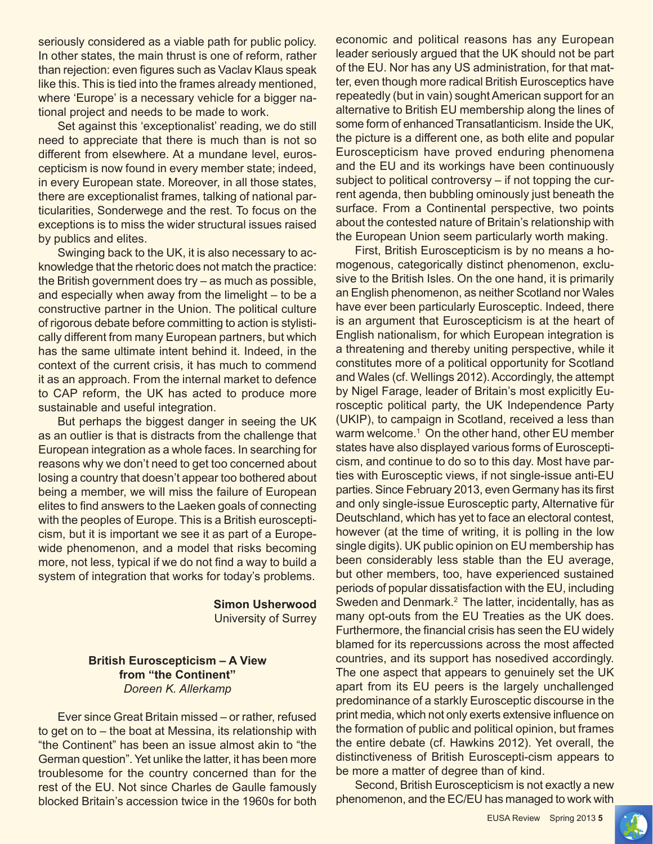seriously considered as a viable path for public policy. In other states, the main thrust is one of reform, rather than rejection: even figures such as Vaclav Klaus speak like this. This is tied into the frames already mentioned, where 'Europe' is a necessary vehicle for a bigger national project and needs to be made to work.

Set against this 'exceptionalist' reading, we do still need to appreciate that there is much than is not so different from elsewhere. At a mundane level, euroscepticism is now found in every member state; indeed, in every European state. Moreover, in all those states, there are exceptionalist frames, talking of national particularities, Sonderwege and the rest. To focus on the exceptions is to miss the wider structural issues raised by publics and elites.

Swinging back to the UK, it is also necessary to acknowledge that the rhetoric does not match the practice: the British government does try – as much as possible, and especially when away from the limelight – to be a constructive partner in the Union. The political culture of rigorous debate before committing to action is stylistically different from many European partners, but which has the same ultimate intent behind it. Indeed, in the context of the current crisis, it has much to commend it as an approach. From the internal market to defence to CAP reform, the UK has acted to produce more sustainable and useful integration.

But perhaps the biggest danger in seeing the UK as an outlier is that is distracts from the challenge that European integration as a whole faces. In searching for reasons why we don't need to get too concerned about losing a country that doesn't appear too bothered about being a member, we will miss the failure of European elites to find answers to the Laeken goals of connecting with the peoples of Europe. This is a British euroscepticism, but it is important we see it as part of a Europewide phenomenon, and a model that risks becoming more, not less, typical if we do not find a way to build a system of integration that works for today's problems.

> **Simon Usherwood** University of Surrey

#### **British Euroscepticism – A View from "the Continent"** *Doreen K. Allerkamp*

Ever since Great Britain missed – or rather, refused to get on to – the boat at Messina, its relationship with "the Continent" has been an issue almost akin to "the German question". Yet unlike the latter, it has been more troublesome for the country concerned than for the rest of the EU. Not since Charles de Gaulle famously blocked Britain's accession twice in the 1960s for both economic and political reasons has any European leader seriously argued that the UK should not be part of the EU. Nor has any US administration, for that matter, even though more radical British Eurosceptics have repeatedly (but in vain) sought American support for an alternative to British EU membership along the lines of some form of enhanced Transatlanticism. Inside the UK, the picture is a different one, as both elite and popular Euroscepticism have proved enduring phenomena and the EU and its workings have been continuously subject to political controversy – if not topping the current agenda, then bubbling ominously just beneath the surface. From a Continental perspective, two points about the contested nature of Britain's relationship with the European Union seem particularly worth making.

First, British Euroscepticism is by no means a homogenous, categorically distinct phenomenon, exclusive to the British Isles. On the one hand, it is primarily an English phenomenon, as neither Scotland nor Wales have ever been particularly Eurosceptic. Indeed, there is an argument that Euroscepticism is at the heart of English nationalism, for which European integration is a threatening and thereby uniting perspective, while it constitutes more of a political opportunity for Scotland and Wales (cf. Wellings 2012). Accordingly, the attempt by Nigel Farage, leader of Britain's most explicitly Eurosceptic political party, the UK Independence Party (UKIP), to campaign in Scotland, received a less than warm welcome.<sup>1</sup> On the other hand, other EU member states have also displayed various forms of Euroscepticism, and continue to do so to this day. Most have parties with Eurosceptic views, if not single-issue anti-EU parties. Since February 2013, even Germany has its first and only single-issue Eurosceptic party, Alternative für Deutschland, which has yet to face an electoral contest, however (at the time of writing, it is polling in the low single digits). UK public opinion on EU membership has been considerably less stable than the EU average, but other members, too, have experienced sustained periods of popular dissatisfaction with the EU, including Sweden and Denmark.<sup>2</sup> The latter, incidentally, has as many opt-outs from the EU Treaties as the UK does. Furthermore, the financial crisis has seen the EU widely blamed for its repercussions across the most affected countries, and its support has nosedived accordingly. The one aspect that appears to genuinely set the UK apart from its EU peers is the largely unchallenged predominance of a starkly Eurosceptic discourse in the print media, which not only exerts extensive influence on the formation of public and political opinion, but frames the entire debate (cf. Hawkins 2012). Yet overall, the distinctiveness of British Euroscepti-cism appears to be more a matter of degree than of kind.

Second, British Euroscepticism is not exactly a new phenomenon, and the EC/EU has managed to work with

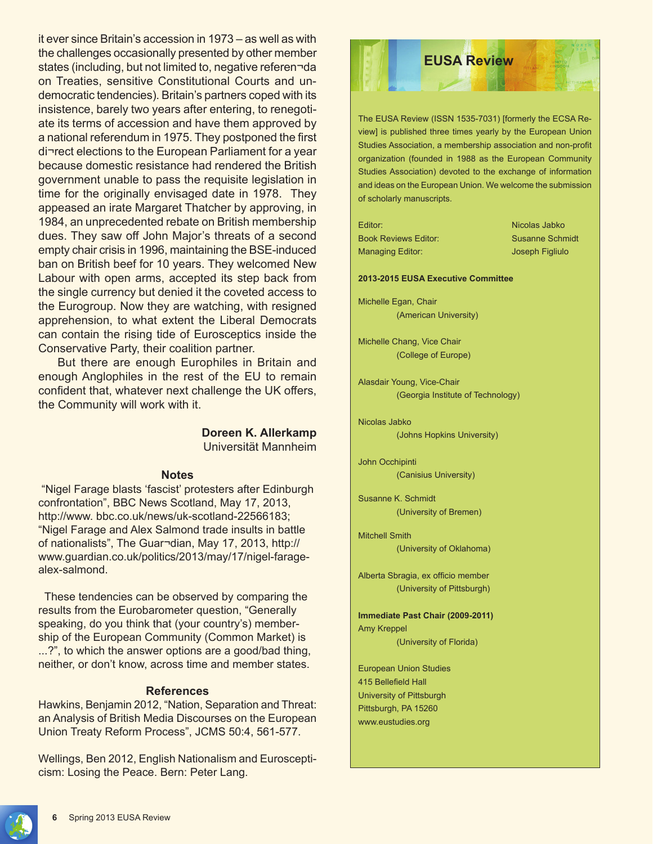it ever since Britain's accession in 1973 – as well as with the challenges occasionally presented by other member states (including, but not limited to, negative referen-da on Treaties, sensitive Constitutional Courts and undemocratic tendencies). Britain's partners coped with its insistence, barely two years after entering, to renegotiate its terms of accession and have them approved by a national referendum in 1975. They postponed the first di¬rect elections to the European Parliament for a year because domestic resistance had rendered the British government unable to pass the requisite legislation in time for the originally envisaged date in 1978. They appeased an irate Margaret Thatcher by approving, in 1984, an unprecedented rebate on British membership dues. They saw off John Major's threats of a second empty chair crisis in 1996, maintaining the BSE-induced ban on British beef for 10 years. They welcomed New Labour with open arms, accepted its step back from the single currency but denied it the coveted access to the Eurogroup. Now they are watching, with resigned apprehension, to what extent the Liberal Democrats can contain the rising tide of Eurosceptics inside the Conservative Party, their coalition partner.

But there are enough Europhiles in Britain and enough Anglophiles in the rest of the EU to remain confident that, whatever next challenge the UK offers, the Community will work with it.

#### **Doreen K. Allerkamp** Universität Mannheim

#### **Notes**

"Nigel Farage blasts 'fascist' protesters after Edinburgh confrontation", BBC News Scotland, May 17, 2013, http://www. bbc.co.uk/news/uk-scotland-22566183; "Nigel Farage and Alex Salmond trade insults in battle of nationalists", The Guar¬dian, May 17, 2013, http:// www.guardian.co.uk/politics/2013/may/17/nigel-faragealex-salmond.

 These tendencies can be observed by comparing the results from the Eurobarometer question, "Generally speaking, do you think that (your country's) membership of the European Community (Common Market) is ...?", to which the answer options are a good/bad thing, neither, or don't know, across time and member states.

#### **References**

Hawkins, Benjamin 2012, "Nation, Separation and Threat: an Analysis of British Media Discourses on the European Union Treaty Reform Process", JCMS 50:4, 561-577.

Wellings, Ben 2012, English Nationalism and Euroscepticism: Losing the Peace. Bern: Peter Lang.

## **EUSA Review**

The EUSA Review (ISSN 1535-7031) [formerly the ECSA Review] is published three times yearly by the European Union Studies Association, a membership association and non-profit organization (founded in 1988 as the European Community Studies Association) devoted to the exchange of information and ideas on the European Union. We welcome the submission of scholarly manuscripts.

Editor: Nicolas Jabko Book Reviews Editor: Susanne Schmidt Managing Editor: Joseph Figliulo

#### **2013-2015 EUSA Executive Committee**

Michelle Egan, Chair (American University)

Michelle Chang, Vice Chair (College of Europe)

Alasdair Young, Vice-Chair (Georgia Institute of Technology)

Nicolas Jabko (Johns Hopkins University)

John Occhipinti (Canisius University)

Susanne K. Schmidt (University of Bremen)

Mitchell Smith (University of Oklahoma)

Alberta Sbragia, ex officio member (University of Pittsburgh)

**Immediate Past Chair (2009-2011)** Amy Kreppel (University of Florida)

European Union Studies 415 Bellefield Hall University of Pittsburgh Pittsburgh, PA 15260 www.eustudies.org

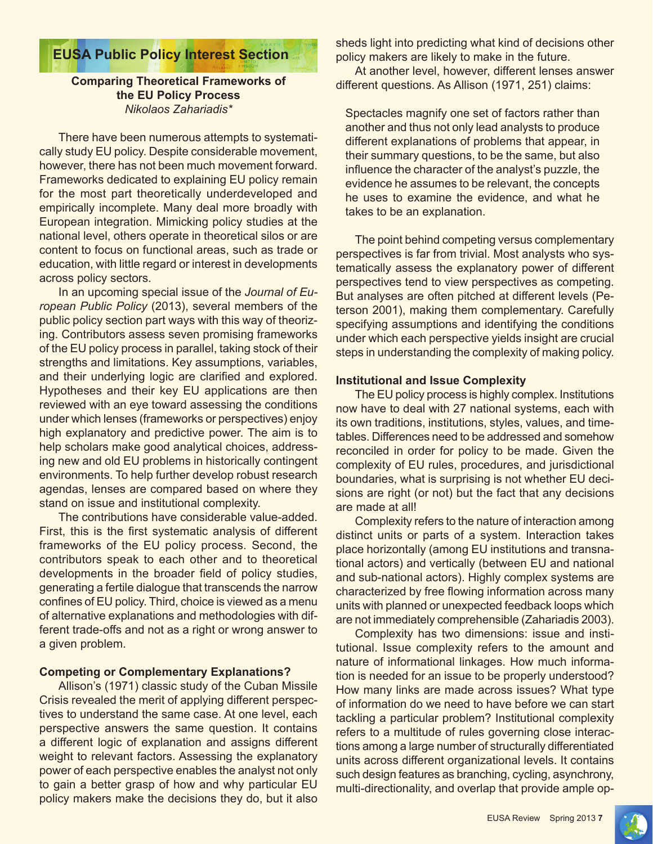## **EUSA Public Policy Interest Section**

#### **Comparing Theoretical Frameworks of the EU Policy Process** *Nikolaos Zahariadis\**

There have been numerous attempts to systematically study EU policy. Despite considerable movement, however, there has not been much movement forward. Frameworks dedicated to explaining EU policy remain for the most part theoretically underdeveloped and empirically incomplete. Many deal more broadly with European integration. Mimicking policy studies at the national level, others operate in theoretical silos or are content to focus on functional areas, such as trade or education, with little regard or interest in developments across policy sectors.

In an upcoming special issue of the *Journal of European Public Policy* (2013), several members of the public policy section part ways with this way of theorizing. Contributors assess seven promising frameworks of the EU policy process in parallel, taking stock of their strengths and limitations. Key assumptions, variables, and their underlying logic are clarified and explored. Hypotheses and their key EU applications are then reviewed with an eye toward assessing the conditions under which lenses (frameworks or perspectives) enjoy high explanatory and predictive power. The aim is to help scholars make good analytical choices, addressing new and old EU problems in historically contingent environments. To help further develop robust research agendas, lenses are compared based on where they stand on issue and institutional complexity.

The contributions have considerable value-added. First, this is the first systematic analysis of different frameworks of the EU policy process. Second, the contributors speak to each other and to theoretical developments in the broader field of policy studies, generating a fertile dialogue that transcends the narrow confines of EU policy. Third, choice is viewed as a menu of alternative explanations and methodologies with different trade-offs and not as a right or wrong answer to a given problem.

#### **Competing or Complementary Explanations?**

Allison's (1971) classic study of the Cuban Missile Crisis revealed the merit of applying different perspectives to understand the same case. At one level, each perspective answers the same question. It contains a different logic of explanation and assigns different weight to relevant factors. Assessing the explanatory power of each perspective enables the analyst not only to gain a better grasp of how and why particular EU policy makers make the decisions they do, but it also sheds light into predicting what kind of decisions other policy makers are likely to make in the future.

At another level, however, different lenses answer different questions. As Allison (1971, 251) claims:

Spectacles magnify one set of factors rather than another and thus not only lead analysts to produce different explanations of problems that appear, in their summary questions, to be the same, but also influence the character of the analyst's puzzle, the evidence he assumes to be relevant, the concepts he uses to examine the evidence, and what he takes to be an explanation.

The point behind competing versus complementary perspectives is far from trivial. Most analysts who systematically assess the explanatory power of different perspectives tend to view perspectives as competing. But analyses are often pitched at different levels (Peterson 2001), making them complementary. Carefully specifying assumptions and identifying the conditions under which each perspective yields insight are crucial steps in understanding the complexity of making policy.

#### **Institutional and Issue Complexity**

The EU policy process is highly complex. Institutions now have to deal with 27 national systems, each with its own traditions, institutions, styles, values, and timetables. Differences need to be addressed and somehow reconciled in order for policy to be made. Given the complexity of EU rules, procedures, and jurisdictional boundaries, what is surprising is not whether EU decisions are right (or not) but the fact that any decisions are made at all!

Complexity refers to the nature of interaction among distinct units or parts of a system. Interaction takes place horizontally (among EU institutions and transnational actors) and vertically (between EU and national and sub-national actors). Highly complex systems are characterized by free flowing information across many units with planned or unexpected feedback loops which are not immediately comprehensible (Zahariadis 2003).

Complexity has two dimensions: issue and institutional. Issue complexity refers to the amount and nature of informational linkages. How much information is needed for an issue to be properly understood? How many links are made across issues? What type of information do we need to have before we can start tackling a particular problem? Institutional complexity refers to a multitude of rules governing close interactions among a large number of structurally differentiated units across different organizational levels. It contains such design features as branching, cycling, asynchrony, multi-directionality, and overlap that provide ample op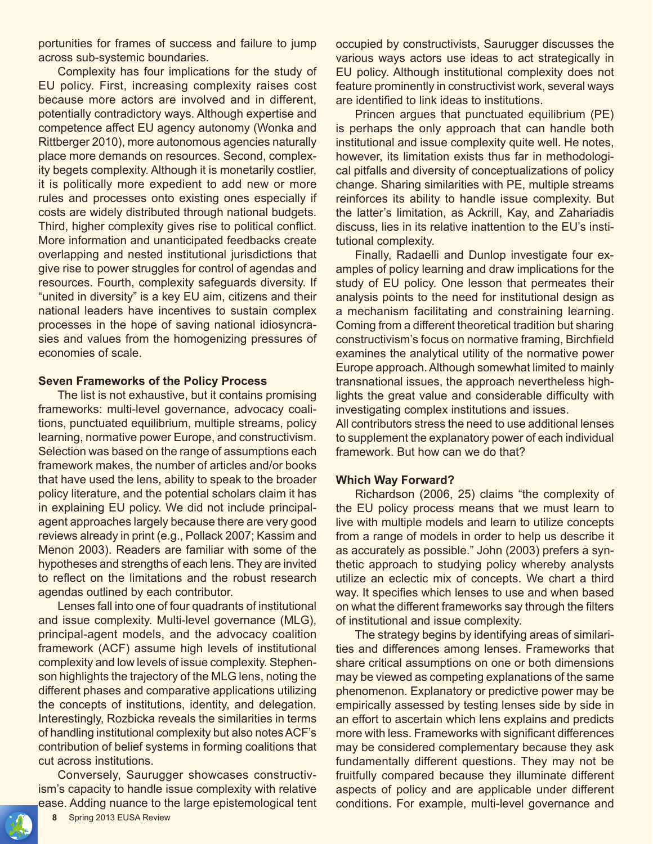portunities for frames of success and failure to jump across sub-systemic boundaries.

Complexity has four implications for the study of EU policy. First, increasing complexity raises cost because more actors are involved and in different, potentially contradictory ways. Although expertise and competence affect EU agency autonomy (Wonka and Rittberger 2010), more autonomous agencies naturally place more demands on resources. Second, complexity begets complexity. Although it is monetarily costlier, it is politically more expedient to add new or more rules and processes onto existing ones especially if costs are widely distributed through national budgets. Third, higher complexity gives rise to political conflict. More information and unanticipated feedbacks create overlapping and nested institutional jurisdictions that give rise to power struggles for control of agendas and resources. Fourth, complexity safeguards diversity. If "united in diversity" is a key EU aim, citizens and their national leaders have incentives to sustain complex processes in the hope of saving national idiosyncrasies and values from the homogenizing pressures of economies of scale.

#### **Seven Frameworks of the Policy Process**

The list is not exhaustive, but it contains promising frameworks: multi-level governance, advocacy coalitions, punctuated equilibrium, multiple streams, policy learning, normative power Europe, and constructivism. Selection was based on the range of assumptions each framework makes, the number of articles and/or books that have used the lens, ability to speak to the broader policy literature, and the potential scholars claim it has in explaining EU policy. We did not include principalagent approaches largely because there are very good reviews already in print (e.g., Pollack 2007; Kassim and Menon 2003). Readers are familiar with some of the hypotheses and strengths of each lens. They are invited to reflect on the limitations and the robust research agendas outlined by each contributor.

Lenses fall into one of four quadrants of institutional and issue complexity. Multi-level governance (MLG), principal-agent models, and the advocacy coalition framework (ACF) assume high levels of institutional complexity and low levels of issue complexity. Stephenson highlights the trajectory of the MLG lens, noting the different phases and comparative applications utilizing the concepts of institutions, identity, and delegation. Interestingly, Rozbicka reveals the similarities in terms of handling institutional complexity but also notes ACF's contribution of belief systems in forming coalitions that cut across institutions.

Conversely, Saurugger showcases constructivism's capacity to handle issue complexity with relative ease. Adding nuance to the large epistemological tent occupied by constructivists, Saurugger discusses the various ways actors use ideas to act strategically in EU policy. Although institutional complexity does not feature prominently in constructivist work, several ways are identified to link ideas to institutions.

Princen argues that punctuated equilibrium (PE) is perhaps the only approach that can handle both institutional and issue complexity quite well. He notes, however, its limitation exists thus far in methodological pitfalls and diversity of conceptualizations of policy change. Sharing similarities with PE, multiple streams reinforces its ability to handle issue complexity. But the latter's limitation, as Ackrill, Kay, and Zahariadis discuss, lies in its relative inattention to the EU's institutional complexity.

Finally, Radaelli and Dunlop investigate four examples of policy learning and draw implications for the study of EU policy. One lesson that permeates their analysis points to the need for institutional design as a mechanism facilitating and constraining learning. Coming from a different theoretical tradition but sharing constructivism's focus on normative framing, Birchfield examines the analytical utility of the normative power Europe approach. Although somewhat limited to mainly transnational issues, the approach nevertheless highlights the great value and considerable difficulty with investigating complex institutions and issues.

All contributors stress the need to use additional lenses to supplement the explanatory power of each individual framework. But how can we do that?

#### **Which Way Forward?**

Richardson (2006, 25) claims "the complexity of the EU policy process means that we must learn to live with multiple models and learn to utilize concepts from a range of models in order to help us describe it as accurately as possible." John (2003) prefers a synthetic approach to studying policy whereby analysts utilize an eclectic mix of concepts. We chart a third way. It specifies which lenses to use and when based on what the different frameworks say through the filters of institutional and issue complexity.

The strategy begins by identifying areas of similarities and differences among lenses. Frameworks that share critical assumptions on one or both dimensions may be viewed as competing explanations of the same phenomenon. Explanatory or predictive power may be empirically assessed by testing lenses side by side in an effort to ascertain which lens explains and predicts more with less. Frameworks with significant differences may be considered complementary because they ask fundamentally different questions. They may not be fruitfully compared because they illuminate different aspects of policy and are applicable under different conditions. For example, multi-level governance and

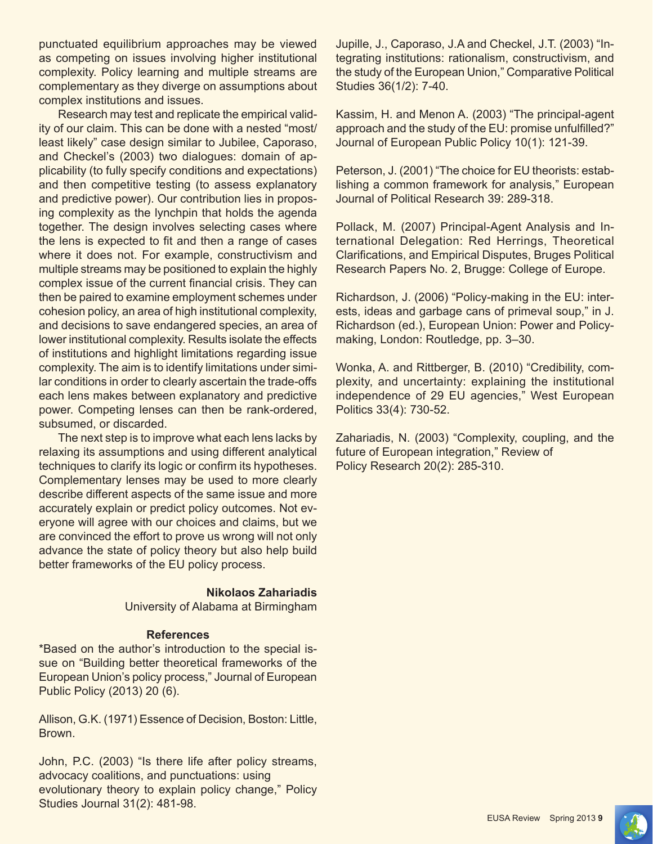punctuated equilibrium approaches may be viewed as competing on issues involving higher institutional complexity. Policy learning and multiple streams are complementary as they diverge on assumptions about complex institutions and issues.

Research may test and replicate the empirical validity of our claim. This can be done with a nested "most/ least likely" case design similar to Jubilee, Caporaso, and Checkel's (2003) two dialogues: domain of applicability (to fully specify conditions and expectations) and then competitive testing (to assess explanatory and predictive power). Our contribution lies in proposing complexity as the lynchpin that holds the agenda together. The design involves selecting cases where the lens is expected to fit and then a range of cases where it does not. For example, constructivism and multiple streams may be positioned to explain the highly complex issue of the current financial crisis. They can then be paired to examine employment schemes under cohesion policy, an area of high institutional complexity, and decisions to save endangered species, an area of lower institutional complexity. Results isolate the effects of institutions and highlight limitations regarding issue complexity. The aim is to identify limitations under similar conditions in order to clearly ascertain the trade-offs each lens makes between explanatory and predictive power. Competing lenses can then be rank-ordered, subsumed, or discarded.

The next step is to improve what each lens lacks by relaxing its assumptions and using different analytical techniques to clarify its logic or confirm its hypotheses. Complementary lenses may be used to more clearly describe different aspects of the same issue and more accurately explain or predict policy outcomes. Not everyone will agree with our choices and claims, but we are convinced the effort to prove us wrong will not only advance the state of policy theory but also help build better frameworks of the EU policy process.

#### **Nikolaos Zahariadis**

University of Alabama at Birmingham

#### **References**

\*Based on the author's introduction to the special issue on "Building better theoretical frameworks of the European Union's policy process," Journal of European Public Policy (2013) 20 (6).

Allison, G.K. (1971) Essence of Decision, Boston: Little, Brown.

John, P.C. (2003) "Is there life after policy streams, advocacy coalitions, and punctuations: using evolutionary theory to explain policy change," Policy Studies Journal 31(2): 481-98.

Jupille, J., Caporaso, J.A and Checkel, J.T. (2003) "Integrating institutions: rationalism, constructivism, and the study of the European Union," Comparative Political Studies 36(1/2): 7-40.

Kassim, H. and Menon A. (2003) "The principal-agent approach and the study of the EU: promise unfulfilled?" Journal of European Public Policy 10(1): 121-39.

Peterson, J. (2001) "The choice for EU theorists: establishing a common framework for analysis," European Journal of Political Research 39: 289-318.

Pollack, M. (2007) Principal-Agent Analysis and International Delegation: Red Herrings, Theoretical Clarifications, and Empirical Disputes, Bruges Political Research Papers No. 2, Brugge: College of Europe.

Richardson, J. (2006) "Policy-making in the EU: interests, ideas and garbage cans of primeval soup," in J. Richardson (ed.), European Union: Power and Policymaking, London: Routledge, pp. 3–30.

Wonka, A. and Rittberger, B. (2010) "Credibility, complexity, and uncertainty: explaining the institutional independence of 29 EU agencies," West European Politics 33(4): 730-52.

Zahariadis, N. (2003) "Complexity, coupling, and the future of European integration," Review of Policy Research 20(2): 285-310.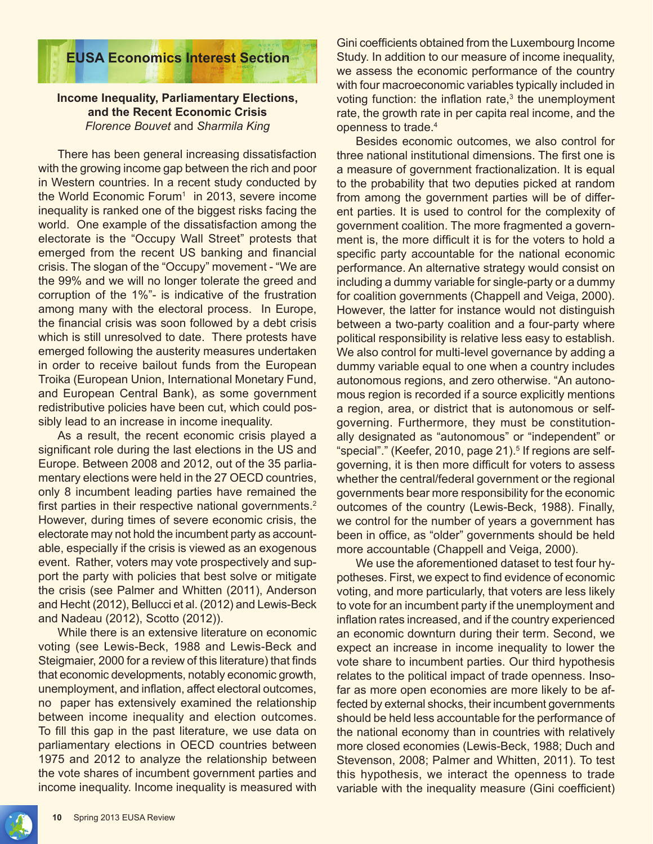

#### **Income Inequality, Parliamentary Elections, and the Recent Economic Crisis** *Florence Bouvet* and *Sharmila King*

There has been general increasing dissatisfaction with the growing income gap between the rich and poor in Western countries. In a recent study conducted by the World Economic Forum<sup>1</sup> in 2013, severe income inequality is ranked one of the biggest risks facing the world. One example of the dissatisfaction among the electorate is the "Occupy Wall Street" protests that emerged from the recent US banking and financial crisis. The slogan of the "Occupy" movement - "We are the 99% and we will no longer tolerate the greed and corruption of the 1%"- is indicative of the frustration among many with the electoral process. In Europe, the financial crisis was soon followed by a debt crisis which is still unresolved to date. There protests have emerged following the austerity measures undertaken in order to receive bailout funds from the European Troika (European Union, International Monetary Fund, and European Central Bank), as some government redistributive policies have been cut, which could possibly lead to an increase in income inequality.

As a result, the recent economic crisis played a significant role during the last elections in the US and Europe. Between 2008 and 2012, out of the 35 parliamentary elections were held in the 27 OECD countries, only 8 incumbent leading parties have remained the first parties in their respective national governments.<sup>2</sup> However, during times of severe economic crisis, the electorate may not hold the incumbent party as accountable, especially if the crisis is viewed as an exogenous event. Rather, voters may vote prospectively and support the party with policies that best solve or mitigate the crisis (see Palmer and Whitten (2011), Anderson and Hecht (2012), Bellucci et al. (2012) and Lewis-Beck and Nadeau (2012), Scotto (2012)).

While there is an extensive literature on economic voting (see Lewis-Beck, 1988 and Lewis-Beck and Steigmaier, 2000 for a review of this literature) that finds that economic developments, notably economic growth, unemployment, and inflation, affect electoral outcomes, no paper has extensively examined the relationship between income inequality and election outcomes. To fill this gap in the past literature, we use data on parliamentary elections in OECD countries between 1975 and 2012 to analyze the relationship between the vote shares of incumbent government parties and income inequality. Income inequality is measured with Gini coefficients obtained from the Luxembourg Income Study. In addition to our measure of income inequality, we assess the economic performance of the country with four macroeconomic variables typically included in voting function: the inflation rate,<sup>3</sup> the unemployment rate, the growth rate in per capita real income, and the openness to trade.<sup>4</sup>

Besides economic outcomes, we also control for three national institutional dimensions. The first one is a measure of government fractionalization. It is equal to the probability that two deputies picked at random from among the government parties will be of different parties. It is used to control for the complexity of government coalition. The more fragmented a government is, the more difficult it is for the voters to hold a specific party accountable for the national economic performance. An alternative strategy would consist on including a dummy variable for single-party or a dummy for coalition governments (Chappell and Veiga, 2000). However, the latter for instance would not distinguish between a two-party coalition and a four-party where political responsibility is relative less easy to establish. We also control for multi-level governance by adding a dummy variable equal to one when a country includes autonomous regions, and zero otherwise. "An autonomous region is recorded if a source explicitly mentions a region, area, or district that is autonomous or selfgoverning. Furthermore, they must be constitutionally designated as "autonomous" or "independent" or "special"." (Keefer, 2010, page 21).<sup>5</sup> If regions are selfgoverning, it is then more difficult for voters to assess whether the central/federal government or the regional governments bear more responsibility for the economic outcomes of the country (Lewis-Beck, 1988). Finally, we control for the number of years a government has been in office, as "older" governments should be held more accountable (Chappell and Veiga, 2000).

We use the aforementioned dataset to test four hypotheses. First, we expect to find evidence of economic voting, and more particularly, that voters are less likely to vote for an incumbent party if the unemployment and inflation rates increased, and if the country experienced an economic downturn during their term. Second, we expect an increase in income inequality to lower the vote share to incumbent parties. Our third hypothesis relates to the political impact of trade openness. Insofar as more open economies are more likely to be affected by external shocks, their incumbent governments should be held less accountable for the performance of the national economy than in countries with relatively more closed economies (Lewis-Beck, 1988; Duch and Stevenson, 2008; Palmer and Whitten, 2011). To test this hypothesis, we interact the openness to trade variable with the inequality measure (Gini coefficient)

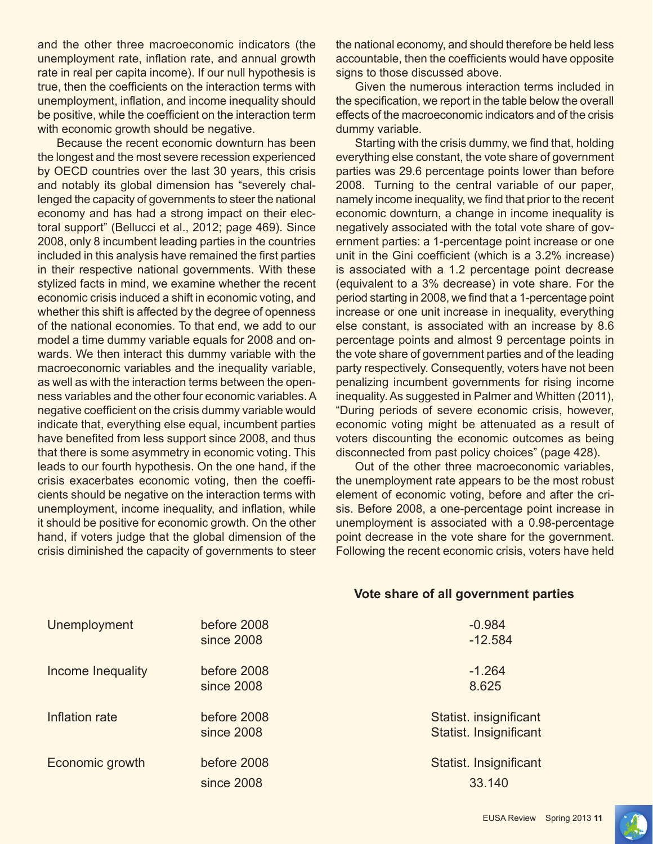and the other three macroeconomic indicators (the unemployment rate, inflation rate, and annual growth rate in real per capita income). If our null hypothesis is true, then the coefficients on the interaction terms with unemployment, inflation, and income inequality should be positive, while the coefficient on the interaction term with economic growth should be negative.

Because the recent economic downturn has been the longest and the most severe recession experienced by OECD countries over the last 30 years, this crisis and notably its global dimension has "severely challenged the capacity of governments to steer the national economy and has had a strong impact on their electoral support" (Bellucci et al., 2012; page 469). Since 2008, only 8 incumbent leading parties in the countries included in this analysis have remained the first parties in their respective national governments. With these stylized facts in mind, we examine whether the recent economic crisis induced a shift in economic voting, and whether this shift is affected by the degree of openness of the national economies. To that end, we add to our model a time dummy variable equals for 2008 and onwards. We then interact this dummy variable with the macroeconomic variables and the inequality variable, as well as with the interaction terms between the openness variables and the other four economic variables. A negative coefficient on the crisis dummy variable would indicate that, everything else equal, incumbent parties have benefited from less support since 2008, and thus that there is some asymmetry in economic voting. This leads to our fourth hypothesis. On the one hand, if the crisis exacerbates economic voting, then the coefficients should be negative on the interaction terms with unemployment, income inequality, and inflation, while it should be positive for economic growth. On the other hand, if voters judge that the global dimension of the crisis diminished the capacity of governments to steer

the national economy, and should therefore be held less accountable, then the coefficients would have opposite signs to those discussed above.

Given the numerous interaction terms included in the specification, we report in the table below the overall effects of the macroeconomic indicators and of the crisis dummy variable.

Starting with the crisis dummy, we find that, holding everything else constant, the vote share of government parties was 29.6 percentage points lower than before 2008. Turning to the central variable of our paper, namely income inequality, we find that prior to the recent economic downturn, a change in income inequality is negatively associated with the total vote share of government parties: a 1-percentage point increase or one unit in the Gini coefficient (which is a 3.2% increase) is associated with a 1.2 percentage point decrease (equivalent to a 3% decrease) in vote share. For the period starting in 2008, we find that a 1-percentage point increase or one unit increase in inequality, everything else constant, is associated with an increase by 8.6 percentage points and almost 9 percentage points in the vote share of government parties and of the leading party respectively. Consequently, voters have not been penalizing incumbent governments for rising income inequality. As suggested in Palmer and Whitten (2011), "During periods of severe economic crisis, however, economic voting might be attenuated as a result of voters discounting the economic outcomes as being disconnected from past policy choices" (page 428).

Out of the other three macroeconomic variables, the unemployment rate appears to be the most robust element of economic voting, before and after the crisis. Before 2008, a one-percentage point increase in unemployment is associated with a 0.98-percentage point decrease in the vote share for the government. Following the recent economic crisis, voters have held

| Unemployment      | before 2008 | $-0.984$               |
|-------------------|-------------|------------------------|
|                   | since 2008  | $-12.584$              |
| Income Inequality | before 2008 | $-1.264$               |
|                   | since 2008  | 8.625                  |
| Inflation rate    | before 2008 | Statist. insignificant |
|                   | since 2008  | Statist. Insignificant |
| Economic growth   | before 2008 | Statist. Insignificant |
|                   | since 2008  | 33.140                 |

#### **Vote share of all government parties**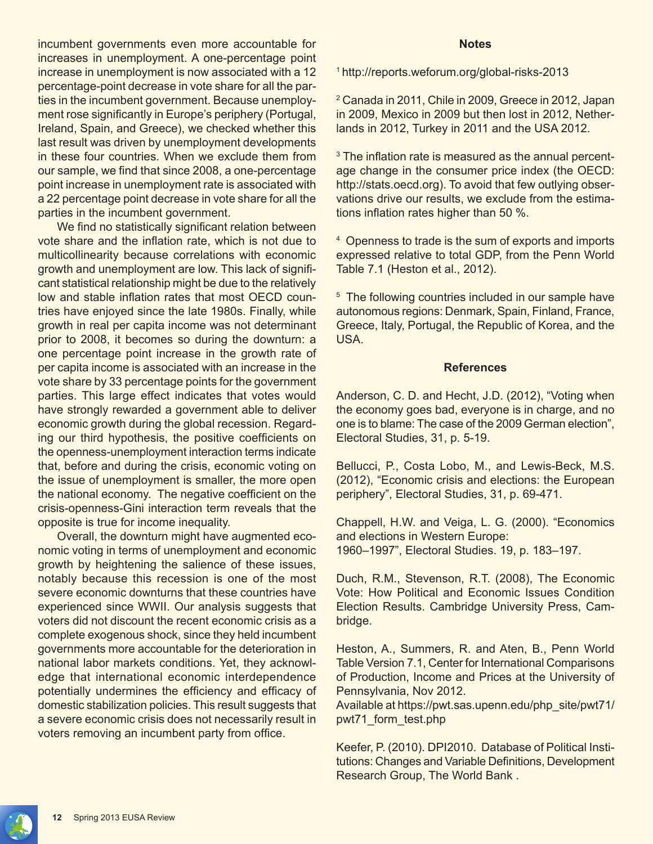incumbent governments even more accountable for increases in unemployment. A one-percentage point increase in unemployment is now associated with a 12 percentage-point decrease in vote share for all the parties in the incumbent government. Because unemployment rose significantly in Europe's periphery (Portugal, Ireland, Spain, and Greece), we checked whether this last result was driven by unemployment developments in these four countries. When we exclude them from our sample, we find that since 2008, a one-percentage point increase in unemployment rate is associated with a 22 percentage point decrease in vote share for all the parties in the incumbent government.

We find no statistically significant relation between vote share and the inflation rate, which is not due to multicollinearity because correlations with economic growth and unemployment are low. This lack of significant statistical relationship might be due to the relatively low and stable inflation rates that most OECD countries have enjoyed since the late 1980s. Finally, while growth in real per capita income was not determinant prior to 2008, it becomes so during the downturn: a one percentage point increase in the growth rate of per capita income is associated with an increase in the vote share by 33 percentage points for the government parties. This large effect indicates that votes would have strongly rewarded a government able to deliver economic growth during the global recession. Regarding our third hypothesis, the positive coefficients on the openness-unemployment interaction terms indicate that, before and during the crisis, economic voting on the issue of unemployment is smaller, the more open the national economy. The negative coefficient on the crisis-openness-Gini interaction term reveals that the opposite is true for income inequality.

Overall, the downturn might have augmented economic voting in terms of unemployment and economic growth by heightening the salience of these issues, notably because this recession is one of the most severe economic downturns that these countries have experienced since WWII. Our analysis suggests that voters did not discount the recent economic crisis as a complete exogenous shock, since they held incumbent governments more accountable for the deterioration in national labor markets conditions. Yet, they acknowledge that international economic interdependence potentially undermines the efficiency and efficacy of domestic stabilization policies. This result suggests that a severe economic crisis does not necessarily result in voters removing an incumbent party from office.

#### **Notes**

<sup>1</sup>http://reports.weforum.org/global-risks-2013

2 Canada in 2011, Chile in 2009, Greece in 2012, Japan in 2009, Mexico in 2009 but then lost in 2012, Netherlands in 2012, Turkey in 2011 and the USA 2012.

<sup>3</sup> The inflation rate is measured as the annual percentage change in the consumer price index (the OECD: http://stats.oecd.org). To avoid that few outlying observations drive our results, we exclude from the estimations inflation rates higher than 50 %.

4 Openness to trade is the sum of exports and imports expressed relative to total GDP, from the Penn World Table 7.1 (Heston et al., 2012).

<sup>5</sup> The following countries included in our sample have autonomous regions: Denmark, Spain, Finland, France, Greece, Italy, Portugal, the Republic of Korea, and the USA.

#### **References**

Anderson, C. D. and Hecht, J.D. (2012), "Voting when the economy goes bad, everyone is in charge, and no one is to blame: The case of the 2009 German election", Electoral Studies, 31, p. 5-19.

Bellucci, P., Costa Lobo, M., and Lewis-Beck, M.S. (2012), "Economic crisis and elections: the European periphery", Electoral Studies, 31, p. 69-471.

Chappell, H.W. and Veiga, L. G. (2000). "Economics and elections in Western Europe: 1960–1997", Electoral Studies. 19, p. 183–197.

Duch, R.M., Stevenson, R.T. (2008), The Economic Vote: How Political and Economic Issues Condition Election Results. Cambridge University Press, Cambridge.

Heston, A., Summers, R. and Aten, B., Penn World Table Version 7.1, Center for International Comparisons of Production, Income and Prices at the University of Pennsylvania, Nov 2012.

Available at https://pwt.sas.upenn.edu/php\_site/pwt71/ pwt71\_form\_test.php

Keefer, P. (2010). DPI2010. Database of Political Institutions: Changes and Variable Definitions, Development Research Group, The World Bank .

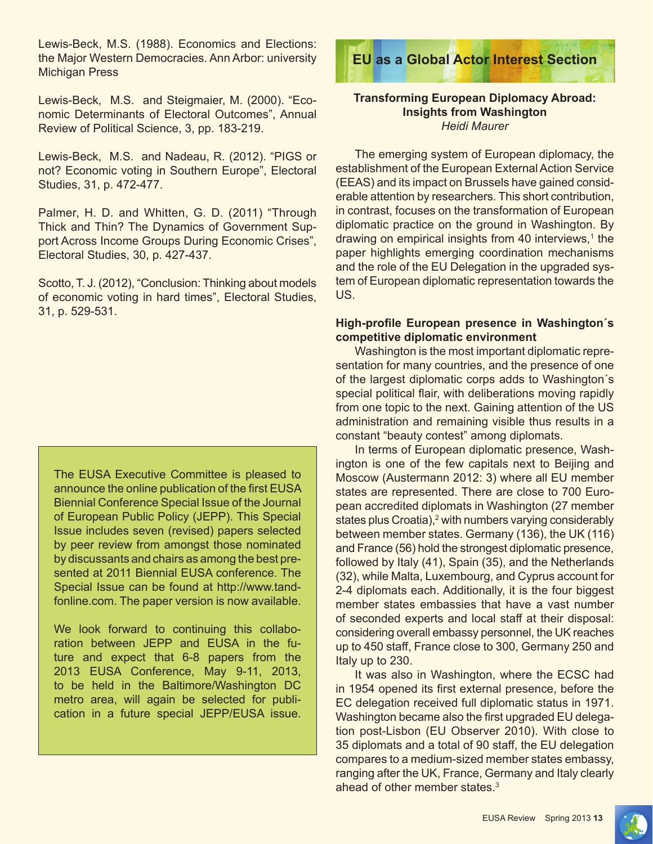Lewis-Beck, M.S. (1988). Economics and Elections: the Major Western Democracies. Ann Arbor: university Michigan Press

Lewis-Beck, M.S. and Steigmaier, M. (2000). "Economic Determinants of Electoral Outcomes", Annual Review of Political Science, 3, pp. 183-219.

Lewis-Beck, M.S. and Nadeau, R. (2012). "PIGS or not? Economic voting in Southern Europe", Electoral Studies, 31, p. 472-477.

Palmer, H. D. and Whitten, G. D. (2011) "Through Thick and Thin? The Dynamics of Government Support Across Income Groups During Economic Crises", Electoral Studies, 30, p. 427-437.

Scotto, T. J. (2012), "Conclusion: Thinking about models of economic voting in hard times", Electoral Studies, 31, p. 529-531.

The EUSA Executive Committee is pleased to announce the online publication of the first EUSA Biennial Conference Special Issue of the Journal of European Public Policy (JEPP). This Special Issue includes seven (revised) papers selected by peer review from amongst those nominated by discussants and chairs as among the best presented at 2011 Biennial EUSA conference. The Special Issue can be found at http://www.tandfonline.com. The paper version is now available.

We look forward to continuing this collaboration between JEPP and EUSA in the future and expect that 6-8 papers from the 2013 EUSA Conference, May 9-11, 2013, to be held in the Baltimore/Washington DC metro area, will again be selected for publication in a future special JEPP/EUSA issue.



#### **Transforming European Diplomacy Abroad: Insights from Washington** *Heidi Maurer*

The emerging system of European diplomacy, the establishment of the European External Action Service (EEAS) and its impact on Brussels have gained considerable attention by researchers. This short contribution, in contrast, focuses on the transformation of European diplomatic practice on the ground in Washington. By drawing on empirical insights from 40 interviews,<sup>1</sup> the paper highlights emerging coordination mechanisms and the role of the EU Delegation in the upgraded system of European diplomatic representation towards the US.

#### **High-profile European presence in Washington´s competitive diplomatic environment**

Washington is the most important diplomatic representation for many countries, and the presence of one of the largest diplomatic corps adds to Washington´s special political flair, with deliberations moving rapidly from one topic to the next. Gaining attention of the US administration and remaining visible thus results in a constant "beauty contest" among diplomats.

In terms of European diplomatic presence, Washington is one of the few capitals next to Beijing and Moscow (Austermann 2012: 3) where all EU member states are represented. There are close to 700 European accredited diplomats in Washington (27 member states plus Croatia),<sup>2</sup> with numbers varying considerably between member states. Germany (136), the UK (116) and France (56) hold the strongest diplomatic presence, followed by Italy (41), Spain (35), and the Netherlands (32), while Malta, Luxembourg, and Cyprus account for 2-4 diplomats each. Additionally, it is the four biggest member states embassies that have a vast number of seconded experts and local staff at their disposal: considering overall embassy personnel, the UK reaches up to 450 staff, France close to 300, Germany 250 and Italy up to 230.

It was also in Washington, where the ECSC had in 1954 opened its first external presence, before the EC delegation received full diplomatic status in 1971. Washington became also the first upgraded EU delegation post-Lisbon (EU Observer 2010). With close to 35 diplomats and a total of 90 staff, the EU delegation compares to a medium-sized member states embassy, ranging after the UK, France, Germany and Italy clearly ahead of other member states.<sup>3</sup>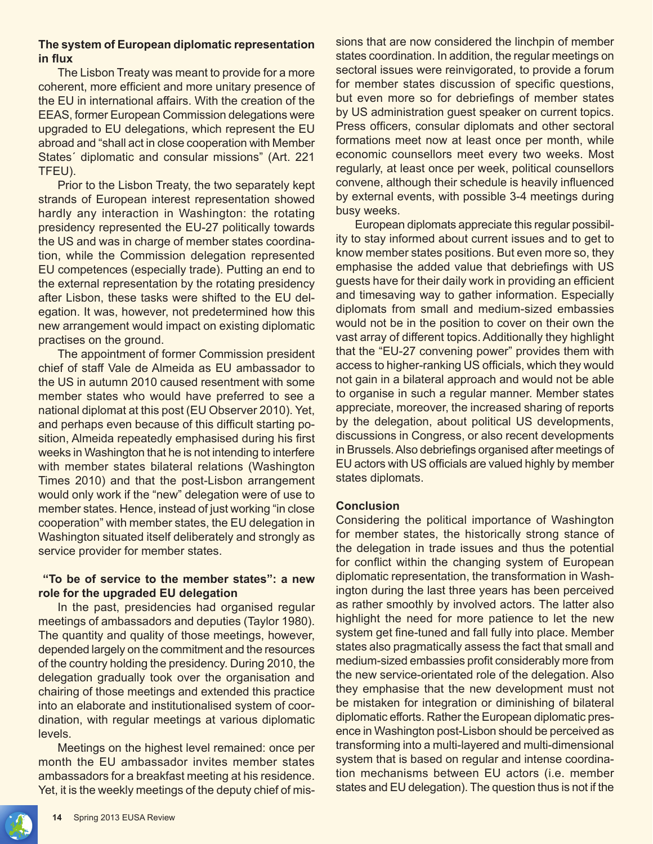#### **The system of European diplomatic representation in flux**

The Lisbon Treaty was meant to provide for a more coherent, more efficient and more unitary presence of the EU in international affairs. With the creation of the EEAS, former European Commission delegations were upgraded to EU delegations, which represent the EU abroad and "shall act in close cooperation with Member States´ diplomatic and consular missions" (Art. 221 TFEU).

Prior to the Lisbon Treaty, the two separately kept strands of European interest representation showed hardly any interaction in Washington: the rotating presidency represented the EU-27 politically towards the US and was in charge of member states coordination, while the Commission delegation represented EU competences (especially trade). Putting an end to the external representation by the rotating presidency after Lisbon, these tasks were shifted to the EU delegation. It was, however, not predetermined how this new arrangement would impact on existing diplomatic practises on the ground.

The appointment of former Commission president chief of staff Vale de Almeida as EU ambassador to the US in autumn 2010 caused resentment with some member states who would have preferred to see a national diplomat at this post (EU Observer 2010). Yet, and perhaps even because of this difficult starting position, Almeida repeatedly emphasised during his first weeks in Washington that he is not intending to interfere with member states bilateral relations (Washington Times 2010) and that the post-Lisbon arrangement would only work if the "new" delegation were of use to member states. Hence, instead of just working "in close cooperation" with member states, the EU delegation in Washington situated itself deliberately and strongly as service provider for member states.

#### **"To be of service to the member states": a new role for the upgraded EU delegation**

In the past, presidencies had organised regular meetings of ambassadors and deputies (Taylor 1980). The quantity and quality of those meetings, however, depended largely on the commitment and the resources of the country holding the presidency. During 2010, the delegation gradually took over the organisation and chairing of those meetings and extended this practice into an elaborate and institutionalised system of coordination, with regular meetings at various diplomatic levels.

Meetings on the highest level remained: once per month the EU ambassador invites member states ambassadors for a breakfast meeting at his residence. Yet, it is the weekly meetings of the deputy chief of missions that are now considered the linchpin of member states coordination. In addition, the regular meetings on sectoral issues were reinvigorated, to provide a forum for member states discussion of specific questions, but even more so for debriefings of member states by US administration guest speaker on current topics. Press officers, consular diplomats and other sectoral formations meet now at least once per month, while economic counsellors meet every two weeks. Most regularly, at least once per week, political counsellors convene, although their schedule is heavily influenced by external events, with possible 3-4 meetings during busy weeks.

European diplomats appreciate this regular possibility to stay informed about current issues and to get to know member states positions. But even more so, they emphasise the added value that debriefings with US guests have for their daily work in providing an efficient and timesaving way to gather information. Especially diplomats from small and medium-sized embassies would not be in the position to cover on their own the vast array of different topics. Additionally they highlight that the "EU-27 convening power" provides them with access to higher-ranking US officials, which they would not gain in a bilateral approach and would not be able to organise in such a regular manner. Member states appreciate, moreover, the increased sharing of reports by the delegation, about political US developments, discussions in Congress, or also recent developments in Brussels. Also debriefings organised after meetings of EU actors with US officials are valued highly by member states diplomats.

#### **Conclusion**

Considering the political importance of Washington for member states, the historically strong stance of the delegation in trade issues and thus the potential for conflict within the changing system of European diplomatic representation, the transformation in Washington during the last three years has been perceived as rather smoothly by involved actors. The latter also highlight the need for more patience to let the new system get fine-tuned and fall fully into place. Member states also pragmatically assess the fact that small and medium-sized embassies profit considerably more from the new service-orientated role of the delegation. Also they emphasise that the new development must not be mistaken for integration or diminishing of bilateral diplomatic efforts. Rather the European diplomatic presence in Washington post-Lisbon should be perceived as transforming into a multi-layered and multi-dimensional system that is based on regular and intense coordination mechanisms between EU actors (i.e. member states and EU delegation). The question thus is not if the

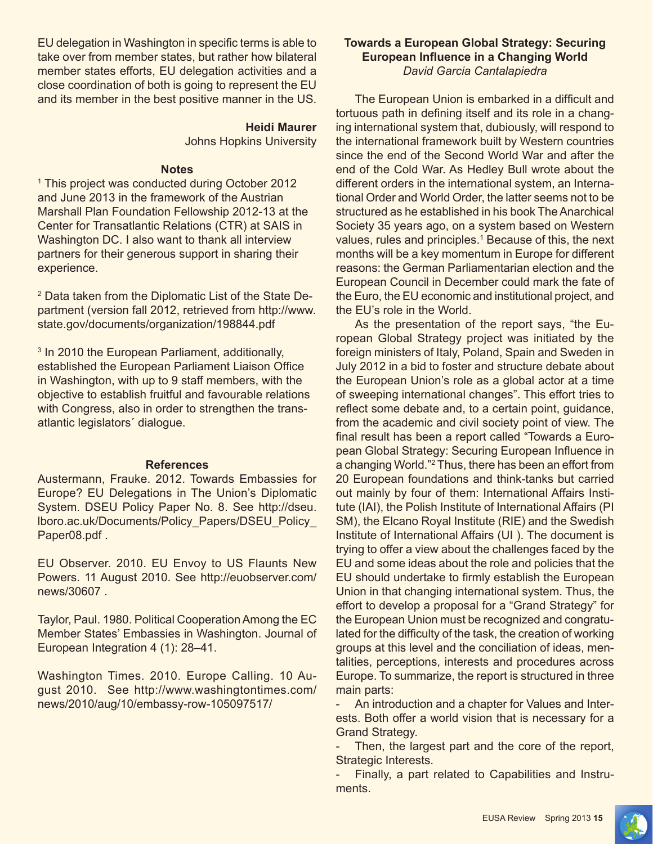EU delegation in Washington in specific terms is able to take over from member states, but rather how bilateral member states efforts, EU delegation activities and a close coordination of both is going to represent the EU and its member in the best positive manner in the US.

#### **Heidi Maurer**

Johns Hopkins University

#### **Notes**

1 This project was conducted during October 2012 and June 2013 in the framework of the Austrian Marshall Plan Foundation Fellowship 2012-13 at the Center for Transatlantic Relations (CTR) at SAIS in Washington DC. I also want to thank all interview partners for their generous support in sharing their experience.

2 Data taken from the Diplomatic List of the State Department (version fall 2012, retrieved from http://www. state.gov/documents/organization/198844.pdf

<sup>3</sup> In 2010 the European Parliament, additionally, established the European Parliament Liaison Office in Washington, with up to 9 staff members, with the objective to establish fruitful and favourable relations with Congress, also in order to strengthen the transatlantic legislators´ dialogue.

#### **References**

Austermann, Frauke. 2012. Towards Embassies for Europe? EU Delegations in The Union's Diplomatic System. DSEU Policy Paper No. 8. See http://dseu. lboro.ac.uk/Documents/Policy\_Papers/DSEU\_Policy\_ Paper08.pdf .

EU Observer. 2010. EU Envoy to US Flaunts New Powers. 11 August 2010. See http://euobserver.com/ news/30607 .

Taylor, Paul. 1980. Political Cooperation Among the EC Member States' Embassies in Washington. Journal of European Integration 4 (1): 28–41.

Washington Times. 2010. Europe Calling. 10 August 2010. See http://www.washingtontimes.com/ news/2010/aug/10/embassy-row-105097517/

#### **Towards a European Global Strategy: Securing European Influence in a Changing World** *David Garcia Cantalapiedra*

The European Union is embarked in a difficult and tortuous path in defining itself and its role in a changing international system that, dubiously, will respond to the international framework built by Western countries since the end of the Second World War and after the end of the Cold War. As Hedley Bull wrote about the different orders in the international system, an International Order and World Order, the latter seems not to be structured as he established in his book The Anarchical Society 35 years ago, on a system based on Western values, rules and principles.<sup>1</sup> Because of this, the next months will be a key momentum in Europe for different reasons: the German Parliamentarian election and the European Council in December could mark the fate of the Euro, the EU economic and institutional project, and the EU's role in the World.

As the presentation of the report says, "the European Global Strategy project was initiated by the foreign ministers of Italy, Poland, Spain and Sweden in July 2012 in a bid to foster and structure debate about the European Union's role as a global actor at a time of sweeping international changes". This effort tries to reflect some debate and, to a certain point, guidance, from the academic and civil society point of view. The final result has been a report called "Towards a European Global Strategy: Securing European Influence in a changing World."<sup>2</sup> Thus, there has been an effort from 20 European foundations and think-tanks but carried out mainly by four of them: International Affairs Institute (IAI), the Polish Institute of International Affairs (PI SM), the Elcano Royal Institute (RIE) and the Swedish Institute of International Affairs (UI ). The document is trying to offer a view about the challenges faced by the EU and some ideas about the role and policies that the EU should undertake to firmly establish the European Union in that changing international system. Thus, the effort to develop a proposal for a "Grand Strategy" for the European Union must be recognized and congratulated for the difficulty of the task, the creation of working groups at this level and the conciliation of ideas, mentalities, perceptions, interests and procedures across Europe. To summarize, the report is structured in three main parts:

- An introduction and a chapter for Values and Interests. Both offer a world vision that is necessary for a Grand Strategy.

Then, the largest part and the core of the report, Strategic Interests.

- Finally, a part related to Capabilities and Instruments.

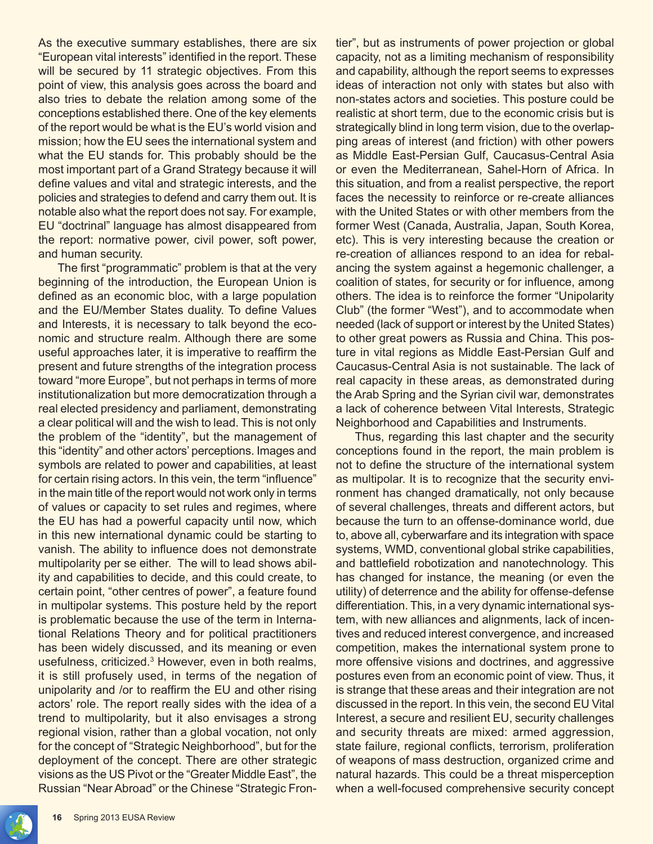As the executive summary establishes, there are six "European vital interests" identified in the report. These will be secured by 11 strategic objectives. From this point of view, this analysis goes across the board and also tries to debate the relation among some of the conceptions established there. One of the key elements of the report would be what is the EU's world vision and mission; how the EU sees the international system and what the EU stands for. This probably should be the most important part of a Grand Strategy because it will define values and vital and strategic interests, and the policies and strategies to defend and carry them out. It is notable also what the report does not say. For example, EU "doctrinal" language has almost disappeared from the report: normative power, civil power, soft power, and human security.

The first "programmatic" problem is that at the very beginning of the introduction, the European Union is defined as an economic bloc, with a large population and the EU/Member States duality. To define Values and Interests, it is necessary to talk beyond the economic and structure realm. Although there are some useful approaches later, it is imperative to reaffirm the present and future strengths of the integration process toward "more Europe", but not perhaps in terms of more institutionalization but more democratization through a real elected presidency and parliament, demonstrating a clear political will and the wish to lead. This is not only the problem of the "identity", but the management of this "identity" and other actors' perceptions. Images and symbols are related to power and capabilities, at least for certain rising actors. In this vein, the term "influence" in the main title of the report would not work only in terms of values or capacity to set rules and regimes, where the EU has had a powerful capacity until now, which in this new international dynamic could be starting to vanish. The ability to influence does not demonstrate multipolarity per se either. The will to lead shows ability and capabilities to decide, and this could create, to certain point, "other centres of power", a feature found in multipolar systems. This posture held by the report is problematic because the use of the term in International Relations Theory and for political practitioners has been widely discussed, and its meaning or even usefulness, criticized.<sup>3</sup> However, even in both realms, it is still profusely used, in terms of the negation of unipolarity and /or to reaffirm the EU and other rising actors' role. The report really sides with the idea of a trend to multipolarity, but it also envisages a strong regional vision, rather than a global vocation, not only for the concept of "Strategic Neighborhood", but for the deployment of the concept. There are other strategic visions as the US Pivot or the "Greater Middle East", the Russian "Near Abroad" or the Chinese "Strategic Frontier", but as instruments of power projection or global capacity, not as a limiting mechanism of responsibility and capability, although the report seems to expresses ideas of interaction not only with states but also with non-states actors and societies. This posture could be realistic at short term, due to the economic crisis but is strategically blind in long term vision, due to the overlapping areas of interest (and friction) with other powers as Middle East-Persian Gulf, Caucasus-Central Asia or even the Mediterranean, Sahel-Horn of Africa. In this situation, and from a realist perspective, the report faces the necessity to reinforce or re-create alliances with the United States or with other members from the former West (Canada, Australia, Japan, South Korea, etc). This is very interesting because the creation or re-creation of alliances respond to an idea for rebalancing the system against a hegemonic challenger, a coalition of states, for security or for influence, among others. The idea is to reinforce the former "Unipolarity Club" (the former "West"), and to accommodate when needed (lack of support or interest by the United States) to other great powers as Russia and China. This posture in vital regions as Middle East-Persian Gulf and Caucasus-Central Asia is not sustainable. The lack of real capacity in these areas, as demonstrated during the Arab Spring and the Syrian civil war, demonstrates a lack of coherence between Vital Interests, Strategic Neighborhood and Capabilities and Instruments.

Thus, regarding this last chapter and the security conceptions found in the report, the main problem is not to define the structure of the international system as multipolar. It is to recognize that the security environment has changed dramatically, not only because of several challenges, threats and different actors, but because the turn to an offense-dominance world, due to, above all, cyberwarfare and its integration with space systems, WMD, conventional global strike capabilities, and battlefield robotization and nanotechnology. This has changed for instance, the meaning (or even the utility) of deterrence and the ability for offense-defense differentiation. This, in a very dynamic international system, with new alliances and alignments, lack of incentives and reduced interest convergence, and increased competition, makes the international system prone to more offensive visions and doctrines, and aggressive postures even from an economic point of view. Thus, it is strange that these areas and their integration are not discussed in the report. In this vein, the second EU Vital Interest, a secure and resilient EU, security challenges and security threats are mixed: armed aggression, state failure, regional conflicts, terrorism, proliferation of weapons of mass destruction, organized crime and natural hazards. This could be a threat misperception when a well-focused comprehensive security concept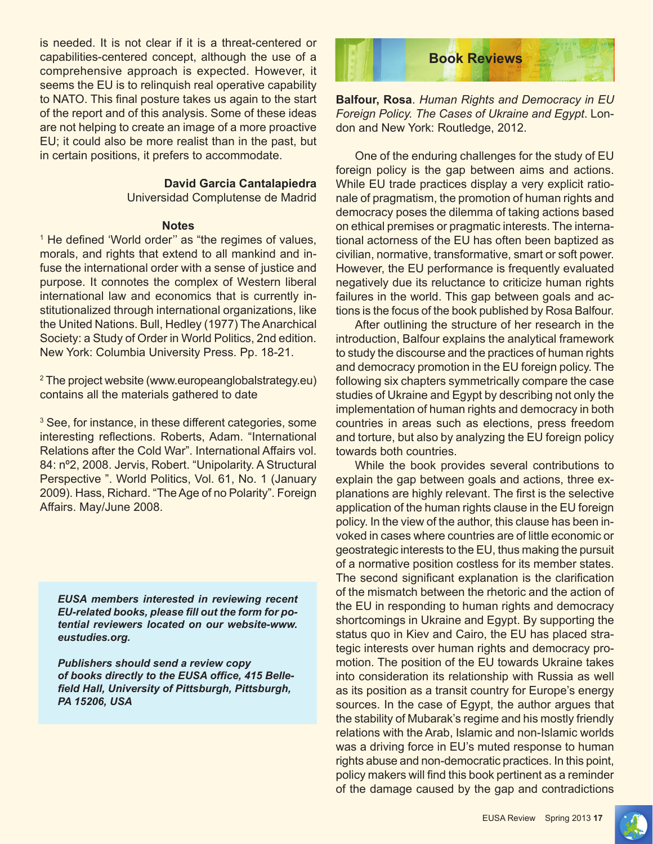is needed. It is not clear if it is a threat-centered or capabilities-centered concept, although the use of a comprehensive approach is expected. However, it seems the EU is to relinquish real operative capability to NATO. This final posture takes us again to the start of the report and of this analysis. Some of these ideas are not helping to create an image of a more proactive EU; it could also be more realist than in the past, but in certain positions, it prefers to accommodate.

#### **David Garcia Cantalapiedra**

Universidad Complutense de Madrid

#### **Notes**

<sup>1</sup> He defined 'World order" as "the regimes of values, morals, and rights that extend to all mankind and infuse the international order with a sense of justice and purpose. It connotes the complex of Western liberal international law and economics that is currently institutionalized through international organizations, like the United Nations. Bull, Hedley (1977) The Anarchical Society: a Study of Order in World Politics, 2nd edition. New York: Columbia University Press. Pp. 18-21.

2 The project website (www.europeanglobalstrategy.eu) contains all the materials gathered to date

<sup>3</sup> See, for instance, in these different categories, some interesting reflections. Roberts, Adam. "International Relations after the Cold War". International Affairs vol. 84: nº2, 2008. Jervis, Robert. "Unipolarity. A Structural Perspective ". World Politics, Vol. 61, No. 1 (January 2009). Hass, Richard. "The Age of no Polarity". Foreign Affairs. May/June 2008.

*EUSA members interested in reviewing recent EU-related books, please fill out the form for potential reviewers located on our website-www. eustudies.org.*

*Publishers should send a review copy of books directly to the EUSA office, 415 Bellefield Hall, University of Pittsburgh, Pittsburgh, PA 15206, USA*



**Balfour, Rosa**. *Human Rights and Democracy in EU Foreign Policy. The Cases of Ukraine and Egypt*. London and New York: Routledge, 2012.

One of the enduring challenges for the study of EU foreign policy is the gap between aims and actions. While EU trade practices display a very explicit rationale of pragmatism, the promotion of human rights and democracy poses the dilemma of taking actions based on ethical premises or pragmatic interests. The international actorness of the EU has often been baptized as civilian, normative, transformative, smart or soft power. However, the EU performance is frequently evaluated negatively due its reluctance to criticize human rights failures in the world. This gap between goals and actions is the focus of the book published by Rosa Balfour.

After outlining the structure of her research in the introduction, Balfour explains the analytical framework to study the discourse and the practices of human rights and democracy promotion in the EU foreign policy. The following six chapters symmetrically compare the case studies of Ukraine and Egypt by describing not only the implementation of human rights and democracy in both countries in areas such as elections, press freedom and torture, but also by analyzing the EU foreign policy towards both countries.

While the book provides several contributions to explain the gap between goals and actions, three explanations are highly relevant. The first is the selective application of the human rights clause in the EU foreign policy. In the view of the author, this clause has been invoked in cases where countries are of little economic or geostrategic interests to the EU, thus making the pursuit of a normative position costless for its member states. The second significant explanation is the clarification of the mismatch between the rhetoric and the action of the EU in responding to human rights and democracy shortcomings in Ukraine and Egypt. By supporting the status quo in Kiev and Cairo, the EU has placed strategic interests over human rights and democracy promotion. The position of the EU towards Ukraine takes into consideration its relationship with Russia as well as its position as a transit country for Europe's energy sources. In the case of Egypt, the author argues that the stability of Mubarak's regime and his mostly friendly relations with the Arab, Islamic and non-Islamic worlds was a driving force in EU's muted response to human rights abuse and non-democratic practices. In this point, policy makers will find this book pertinent as a reminder of the damage caused by the gap and contradictions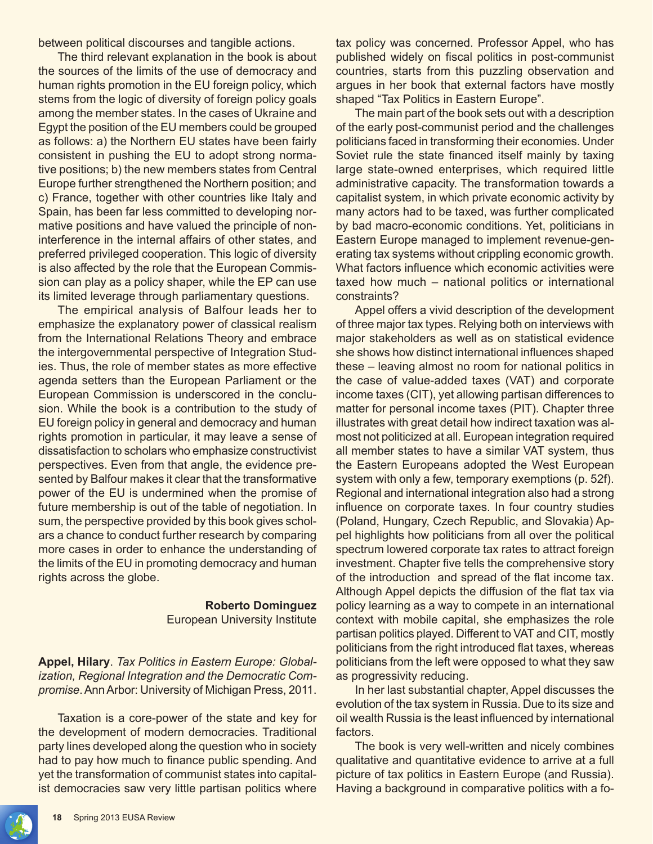between political discourses and tangible actions.

The third relevant explanation in the book is about the sources of the limits of the use of democracy and human rights promotion in the EU foreign policy, which stems from the logic of diversity of foreign policy goals among the member states. In the cases of Ukraine and Egypt the position of the EU members could be grouped as follows: a) the Northern EU states have been fairly consistent in pushing the EU to adopt strong normative positions; b) the new members states from Central Europe further strengthened the Northern position; and c) France, together with other countries like Italy and Spain, has been far less committed to developing normative positions and have valued the principle of noninterference in the internal affairs of other states, and preferred privileged cooperation. This logic of diversity is also affected by the role that the European Commission can play as a policy shaper, while the EP can use its limited leverage through parliamentary questions.

The empirical analysis of Balfour leads her to emphasize the explanatory power of classical realism from the International Relations Theory and embrace the intergovernmental perspective of Integration Studies. Thus, the role of member states as more effective agenda setters than the European Parliament or the European Commission is underscored in the conclusion. While the book is a contribution to the study of EU foreign policy in general and democracy and human rights promotion in particular, it may leave a sense of dissatisfaction to scholars who emphasize constructivist perspectives. Even from that angle, the evidence presented by Balfour makes it clear that the transformative power of the EU is undermined when the promise of future membership is out of the table of negotiation. In sum, the perspective provided by this book gives scholars a chance to conduct further research by comparing more cases in order to enhance the understanding of the limits of the EU in promoting democracy and human rights across the globe.

## **Roberto Dominguez**

European University Institute

**Appel, Hilary**. *Tax Politics in Eastern Europe: Globalization, Regional Integration and the Democratic Compromise*. Ann Arbor: University of Michigan Press, 2011.

Taxation is a core-power of the state and key for the development of modern democracies. Traditional party lines developed along the question who in society had to pay how much to finance public spending. And yet the transformation of communist states into capitalist democracies saw very little partisan politics where

tax policy was concerned. Professor Appel, who has published widely on fiscal politics in post-communist countries, starts from this puzzling observation and argues in her book that external factors have mostly shaped "Tax Politics in Eastern Europe".

The main part of the book sets out with a description of the early post-communist period and the challenges politicians faced in transforming their economies. Under Soviet rule the state financed itself mainly by taxing large state-owned enterprises, which required little administrative capacity. The transformation towards a capitalist system, in which private economic activity by many actors had to be taxed, was further complicated by bad macro-economic conditions. Yet, politicians in Eastern Europe managed to implement revenue-generating tax systems without crippling economic growth. What factors influence which economic activities were taxed how much – national politics or international constraints?

Appel offers a vivid description of the development of three major tax types. Relying both on interviews with major stakeholders as well as on statistical evidence she shows how distinct international influences shaped these – leaving almost no room for national politics in the case of value-added taxes (VAT) and corporate income taxes (CIT), yet allowing partisan differences to matter for personal income taxes (PIT). Chapter three illustrates with great detail how indirect taxation was almost not politicized at all. European integration required all member states to have a similar VAT system, thus the Eastern Europeans adopted the West European system with only a few, temporary exemptions (p. 52f). Regional and international integration also had a strong influence on corporate taxes. In four country studies (Poland, Hungary, Czech Republic, and Slovakia) Appel highlights how politicians from all over the political spectrum lowered corporate tax rates to attract foreign investment. Chapter five tells the comprehensive story of the introduction and spread of the flat income tax. Although Appel depicts the diffusion of the flat tax via policy learning as a way to compete in an international context with mobile capital, she emphasizes the role partisan politics played. Different to VAT and CIT, mostly politicians from the right introduced flat taxes, whereas politicians from the left were opposed to what they saw as progressivity reducing.

In her last substantial chapter, Appel discusses the evolution of the tax system in Russia. Due to its size and oil wealth Russia is the least influenced by international factors.

The book is very well-written and nicely combines qualitative and quantitative evidence to arrive at a full picture of tax politics in Eastern Europe (and Russia). Having a background in comparative politics with a fo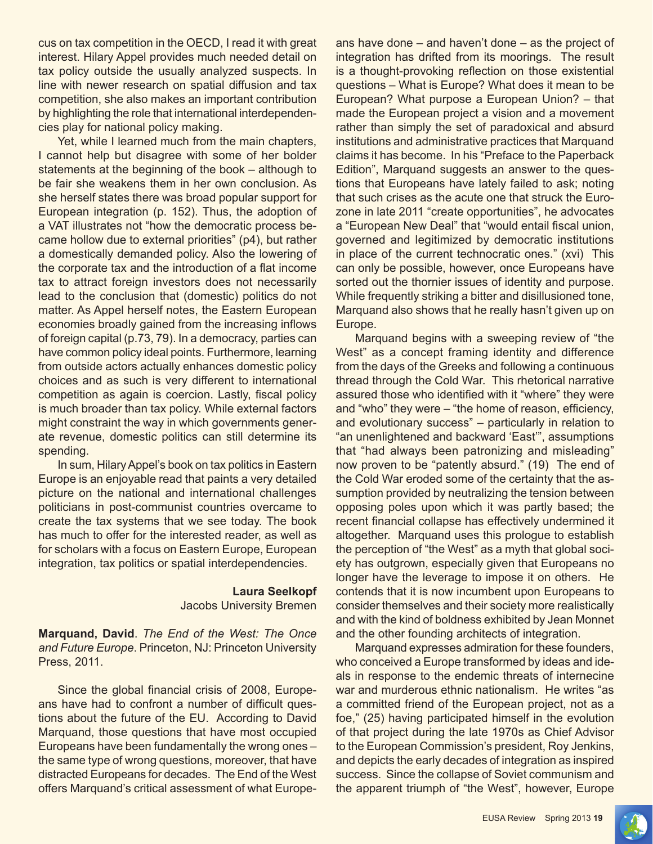cus on tax competition in the OECD, I read it with great interest. Hilary Appel provides much needed detail on tax policy outside the usually analyzed suspects. In line with newer research on spatial diffusion and tax competition, she also makes an important contribution by highlighting the role that international interdependencies play for national policy making.

Yet, while I learned much from the main chapters, I cannot help but disagree with some of her bolder statements at the beginning of the book – although to be fair she weakens them in her own conclusion. As she herself states there was broad popular support for European integration (p. 152). Thus, the adoption of a VAT illustrates not "how the democratic process became hollow due to external priorities" (p4), but rather a domestically demanded policy. Also the lowering of the corporate tax and the introduction of a flat income tax to attract foreign investors does not necessarily lead to the conclusion that (domestic) politics do not matter. As Appel herself notes, the Eastern European economies broadly gained from the increasing inflows of foreign capital (p.73, 79). In a democracy, parties can have common policy ideal points. Furthermore, learning from outside actors actually enhances domestic policy choices and as such is very different to international competition as again is coercion. Lastly, fiscal policy is much broader than tax policy. While external factors might constraint the way in which governments generate revenue, domestic politics can still determine its spending.

In sum, Hilary Appel's book on tax politics in Eastern Europe is an enjoyable read that paints a very detailed picture on the national and international challenges politicians in post-communist countries overcame to create the tax systems that we see today. The book has much to offer for the interested reader, as well as for scholars with a focus on Eastern Europe, European integration, tax politics or spatial interdependencies.

> **Laura Seelkopf**  Jacobs University Bremen

**Marquand, David**. *The End of the West: The Once and Future Europe*. Princeton, NJ: Princeton University Press, 2011.

Since the global financial crisis of 2008, Europeans have had to confront a number of difficult questions about the future of the EU. According to David Marquand, those questions that have most occupied Europeans have been fundamentally the wrong ones – the same type of wrong questions, moreover, that have distracted Europeans for decades. The End of the West offers Marquand's critical assessment of what Europeans have done – and haven't done – as the project of integration has drifted from its moorings. The result is a thought-provoking reflection on those existential questions – What is Europe? What does it mean to be European? What purpose a European Union? – that made the European project a vision and a movement rather than simply the set of paradoxical and absurd institutions and administrative practices that Marquand claims it has become. In his "Preface to the Paperback Edition", Marquand suggests an answer to the questions that Europeans have lately failed to ask; noting that such crises as the acute one that struck the Eurozone in late 2011 "create opportunities", he advocates a "European New Deal" that "would entail fiscal union, governed and legitimized by democratic institutions in place of the current technocratic ones." (xvi) This can only be possible, however, once Europeans have sorted out the thornier issues of identity and purpose. While frequently striking a bitter and disillusioned tone, Marquand also shows that he really hasn't given up on Europe.

Marquand begins with a sweeping review of "the West" as a concept framing identity and difference from the days of the Greeks and following a continuous thread through the Cold War. This rhetorical narrative assured those who identified with it "where" they were and "who" they were – "the home of reason, efficiency, and evolutionary success" – particularly in relation to "an unenlightened and backward 'East'", assumptions that "had always been patronizing and misleading" now proven to be "patently absurd." (19) The end of the Cold War eroded some of the certainty that the assumption provided by neutralizing the tension between opposing poles upon which it was partly based; the recent financial collapse has effectively undermined it altogether. Marquand uses this prologue to establish the perception of "the West" as a myth that global society has outgrown, especially given that Europeans no longer have the leverage to impose it on others. He contends that it is now incumbent upon Europeans to consider themselves and their society more realistically and with the kind of boldness exhibited by Jean Monnet and the other founding architects of integration.

Marquand expresses admiration for these founders, who conceived a Europe transformed by ideas and ideals in response to the endemic threats of internecine war and murderous ethnic nationalism. He writes "as a committed friend of the European project, not as a foe," (25) having participated himself in the evolution of that project during the late 1970s as Chief Advisor to the European Commission's president, Roy Jenkins, and depicts the early decades of integration as inspired success. Since the collapse of Soviet communism and the apparent triumph of "the West", however, Europe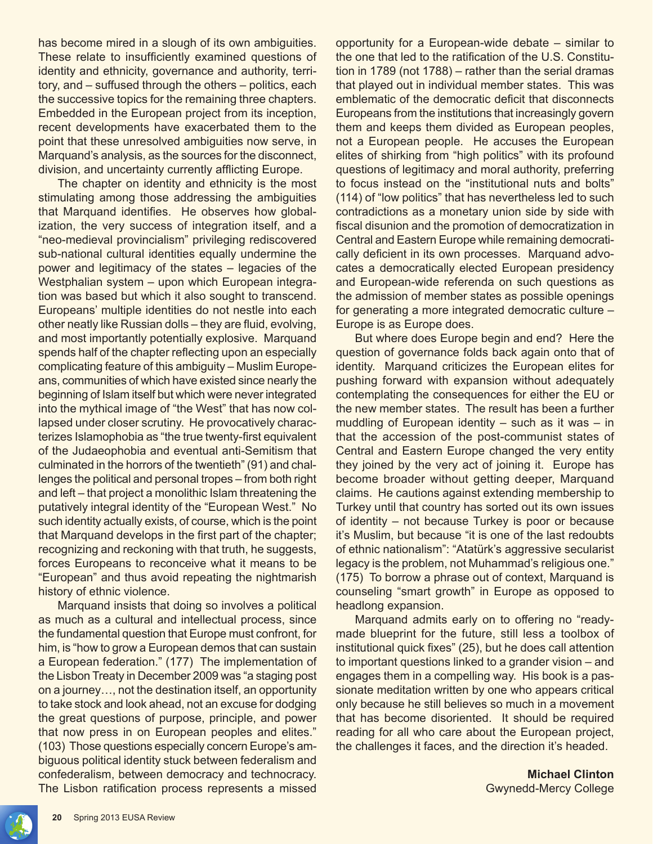has become mired in a slough of its own ambiguities. These relate to insufficiently examined questions of identity and ethnicity, governance and authority, territory, and – suffused through the others – politics, each the successive topics for the remaining three chapters. Embedded in the European project from its inception, recent developments have exacerbated them to the point that these unresolved ambiguities now serve, in Marquand's analysis, as the sources for the disconnect, division, and uncertainty currently afflicting Europe.

The chapter on identity and ethnicity is the most stimulating among those addressing the ambiguities that Marquand identifies. He observes how globalization, the very success of integration itself, and a "neo-medieval provincialism" privileging rediscovered sub-national cultural identities equally undermine the power and legitimacy of the states – legacies of the Westphalian system – upon which European integration was based but which it also sought to transcend. Europeans' multiple identities do not nestle into each other neatly like Russian dolls – they are fluid, evolving, and most importantly potentially explosive. Marquand spends half of the chapter reflecting upon an especially complicating feature of this ambiguity – Muslim Europeans, communities of which have existed since nearly the beginning of Islam itself but which were never integrated into the mythical image of "the West" that has now collapsed under closer scrutiny. He provocatively characterizes Islamophobia as "the true twenty-first equivalent of the Judaeophobia and eventual anti-Semitism that culminated in the horrors of the twentieth" (91) and challenges the political and personal tropes – from both right and left – that project a monolithic Islam threatening the putatively integral identity of the "European West." No such identity actually exists, of course, which is the point that Marquand develops in the first part of the chapter; recognizing and reckoning with that truth, he suggests, forces Europeans to reconceive what it means to be "European" and thus avoid repeating the nightmarish history of ethnic violence.

Marquand insists that doing so involves a political as much as a cultural and intellectual process, since the fundamental question that Europe must confront, for him, is "how to grow a European demos that can sustain a European federation." (177) The implementation of the Lisbon Treaty in December 2009 was "a staging post on a journey…, not the destination itself, an opportunity to take stock and look ahead, not an excuse for dodging the great questions of purpose, principle, and power that now press in on European peoples and elites." (103) Those questions especially concern Europe's ambiguous political identity stuck between federalism and confederalism, between democracy and technocracy. The Lisbon ratification process represents a missed

opportunity for a European-wide debate – similar to the one that led to the ratification of the U.S. Constitution in 1789 (not 1788) – rather than the serial dramas that played out in individual member states. This was emblematic of the democratic deficit that disconnects Europeans from the institutions that increasingly govern them and keeps them divided as European peoples, not a European people. He accuses the European elites of shirking from "high politics" with its profound questions of legitimacy and moral authority, preferring to focus instead on the "institutional nuts and bolts" (114) of "low politics" that has nevertheless led to such contradictions as a monetary union side by side with fiscal disunion and the promotion of democratization in Central and Eastern Europe while remaining democratically deficient in its own processes. Marquand advocates a democratically elected European presidency and European-wide referenda on such questions as the admission of member states as possible openings for generating a more integrated democratic culture – Europe is as Europe does.

But where does Europe begin and end? Here the question of governance folds back again onto that of identity. Marquand criticizes the European elites for pushing forward with expansion without adequately contemplating the consequences for either the EU or the new member states. The result has been a further muddling of European identity – such as it was – in that the accession of the post-communist states of Central and Eastern Europe changed the very entity they joined by the very act of joining it. Europe has become broader without getting deeper, Marquand claims. He cautions against extending membership to Turkey until that country has sorted out its own issues of identity – not because Turkey is poor or because it's Muslim, but because "it is one of the last redoubts of ethnic nationalism": "Atatürk's aggressive secularist legacy is the problem, not Muhammad's religious one." (175) To borrow a phrase out of context, Marquand is counseling "smart growth" in Europe as opposed to headlong expansion.

Marquand admits early on to offering no "readymade blueprint for the future, still less a toolbox of institutional quick fixes" (25), but he does call attention to important questions linked to a grander vision – and engages them in a compelling way. His book is a passionate meditation written by one who appears critical only because he still believes so much in a movement that has become disoriented. It should be required reading for all who care about the European project, the challenges it faces, and the direction it's headed.

> **Michael Clinton** Gwynedd-Mercy College

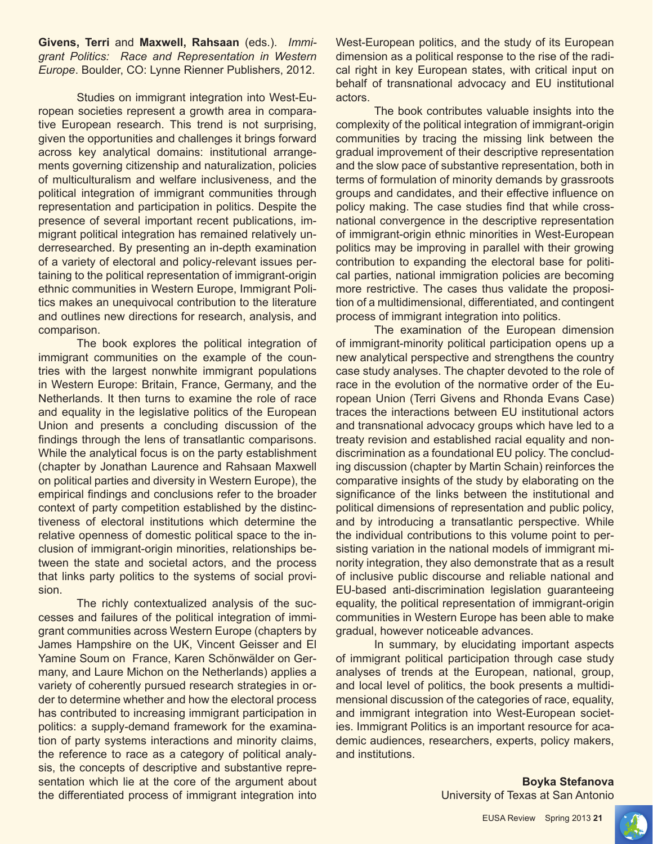**Givens, Terri** and **Maxwell, Rahsaan** (eds.). *Immigrant Politics: Race and Representation in Western Europe*. Boulder, CO: Lynne Rienner Publishers, 2012.

Studies on immigrant integration into West-European societies represent a growth area in comparative European research. This trend is not surprising, given the opportunities and challenges it brings forward across key analytical domains: institutional arrangements governing citizenship and naturalization, policies of multiculturalism and welfare inclusiveness, and the political integration of immigrant communities through representation and participation in politics. Despite the presence of several important recent publications, immigrant political integration has remained relatively underresearched. By presenting an in-depth examination of a variety of electoral and policy-relevant issues pertaining to the political representation of immigrant-origin ethnic communities in Western Europe, Immigrant Politics makes an unequivocal contribution to the literature and outlines new directions for research, analysis, and comparison.

The book explores the political integration of immigrant communities on the example of the countries with the largest nonwhite immigrant populations in Western Europe: Britain, France, Germany, and the Netherlands. It then turns to examine the role of race and equality in the legislative politics of the European Union and presents a concluding discussion of the findings through the lens of transatlantic comparisons. While the analytical focus is on the party establishment (chapter by Jonathan Laurence and Rahsaan Maxwell on political parties and diversity in Western Europe), the empirical findings and conclusions refer to the broader context of party competition established by the distinctiveness of electoral institutions which determine the relative openness of domestic political space to the inclusion of immigrant-origin minorities, relationships between the state and societal actors, and the process that links party politics to the systems of social provision.

The richly contextualized analysis of the successes and failures of the political integration of immigrant communities across Western Europe (chapters by James Hampshire on the UK, Vincent Geisser and El Yamine Soum on France, Karen Schönwälder on Germany, and Laure Michon on the Netherlands) applies a variety of coherently pursued research strategies in order to determine whether and how the electoral process has contributed to increasing immigrant participation in politics: a supply-demand framework for the examination of party systems interactions and minority claims, the reference to race as a category of political analysis, the concepts of descriptive and substantive representation which lie at the core of the argument about the differentiated process of immigrant integration into

West-European politics, and the study of its European dimension as a political response to the rise of the radical right in key European states, with critical input on behalf of transnational advocacy and EU institutional actors.

The book contributes valuable insights into the complexity of the political integration of immigrant-origin communities by tracing the missing link between the gradual improvement of their descriptive representation and the slow pace of substantive representation, both in terms of formulation of minority demands by grassroots groups and candidates, and their effective influence on policy making. The case studies find that while crossnational convergence in the descriptive representation of immigrant-origin ethnic minorities in West-European politics may be improving in parallel with their growing contribution to expanding the electoral base for political parties, national immigration policies are becoming more restrictive. The cases thus validate the proposition of a multidimensional, differentiated, and contingent process of immigrant integration into politics.

The examination of the European dimension of immigrant-minority political participation opens up a new analytical perspective and strengthens the country case study analyses. The chapter devoted to the role of race in the evolution of the normative order of the European Union (Terri Givens and Rhonda Evans Case) traces the interactions between EU institutional actors and transnational advocacy groups which have led to a treaty revision and established racial equality and nondiscrimination as a foundational EU policy. The concluding discussion (chapter by Martin Schain) reinforces the comparative insights of the study by elaborating on the significance of the links between the institutional and political dimensions of representation and public policy, and by introducing a transatlantic perspective. While the individual contributions to this volume point to persisting variation in the national models of immigrant minority integration, they also demonstrate that as a result of inclusive public discourse and reliable national and EU-based anti-discrimination legislation guaranteeing equality, the political representation of immigrant-origin communities in Western Europe has been able to make gradual, however noticeable advances.

In summary, by elucidating important aspects of immigrant political participation through case study analyses of trends at the European, national, group, and local level of politics, the book presents a multidimensional discussion of the categories of race, equality, and immigrant integration into West-European societies. Immigrant Politics is an important resource for academic audiences, researchers, experts, policy makers, and institutions.

> **Boyka Stefanova** University of Texas at San Antonio

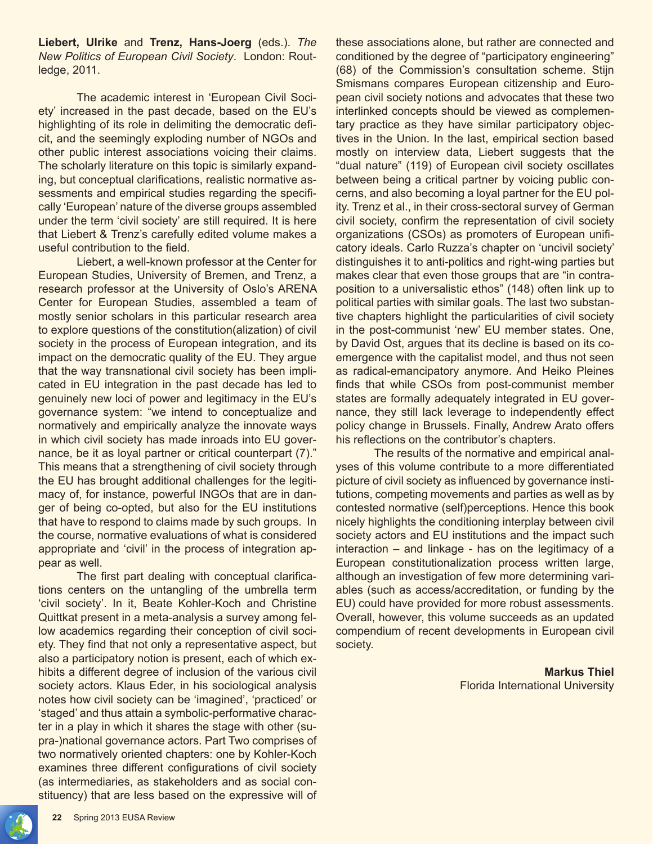**Liebert, Ulrike** and **Trenz, Hans-Joerg** (eds.). *The New Politics of European Civil Society*. London: Routledge, 2011.

The academic interest in 'European Civil Society' increased in the past decade, based on the EU's highlighting of its role in delimiting the democratic deficit, and the seemingly exploding number of NGOs and other public interest associations voicing their claims. The scholarly literature on this topic is similarly expanding, but conceptual clarifications, realistic normative assessments and empirical studies regarding the specifically 'European' nature of the diverse groups assembled under the term 'civil society' are still required. It is here that Liebert & Trenz's carefully edited volume makes a useful contribution to the field.

Liebert, a well-known professor at the Center for European Studies, University of Bremen, and Trenz, a research professor at the University of Oslo's ARENA Center for European Studies, assembled a team of mostly senior scholars in this particular research area to explore questions of the constitution(alization) of civil society in the process of European integration, and its impact on the democratic quality of the EU. They argue that the way transnational civil society has been implicated in EU integration in the past decade has led to genuinely new loci of power and legitimacy in the EU's governance system: "we intend to conceptualize and normatively and empirically analyze the innovate ways in which civil society has made inroads into EU governance, be it as loyal partner or critical counterpart (7)." This means that a strengthening of civil society through the EU has brought additional challenges for the legitimacy of, for instance, powerful INGOs that are in danger of being co-opted, but also for the EU institutions that have to respond to claims made by such groups. In the course, normative evaluations of what is considered appropriate and 'civil' in the process of integration appear as well.

The first part dealing with conceptual clarifications centers on the untangling of the umbrella term 'civil society'. In it, Beate Kohler-Koch and Christine Quittkat present in a meta-analysis a survey among fellow academics regarding their conception of civil society. They find that not only a representative aspect, but also a participatory notion is present, each of which exhibits a different degree of inclusion of the various civil society actors. Klaus Eder, in his sociological analysis notes how civil society can be 'imagined', 'practiced' or 'staged' and thus attain a symbolic-performative character in a play in which it shares the stage with other (supra-)national governance actors. Part Two comprises of two normatively oriented chapters: one by Kohler-Koch examines three different configurations of civil society (as intermediaries, as stakeholders and as social constituency) that are less based on the expressive will of these associations alone, but rather are connected and conditioned by the degree of "participatory engineering" (68) of the Commission's consultation scheme. Stijn Smismans compares European citizenship and European civil society notions and advocates that these two interlinked concepts should be viewed as complementary practice as they have similar participatory objectives in the Union. In the last, empirical section based mostly on interview data, Liebert suggests that the "dual nature" (119) of European civil society oscillates between being a critical partner by voicing public concerns, and also becoming a loyal partner for the EU polity. Trenz et al., in their cross-sectoral survey of German civil society, confirm the representation of civil society organizations (CSOs) as promoters of European unificatory ideals. Carlo Ruzza's chapter on 'uncivil society' distinguishes it to anti-politics and right-wing parties but makes clear that even those groups that are "in contraposition to a universalistic ethos" (148) often link up to political parties with similar goals. The last two substantive chapters highlight the particularities of civil society in the post-communist 'new' EU member states. One, by David Ost, argues that its decline is based on its coemergence with the capitalist model, and thus not seen as radical-emancipatory anymore. And Heiko Pleines finds that while CSOs from post-communist member states are formally adequately integrated in EU governance, they still lack leverage to independently effect policy change in Brussels. Finally, Andrew Arato offers his reflections on the contributor's chapters.

The results of the normative and empirical analyses of this volume contribute to a more differentiated picture of civil society as influenced by governance institutions, competing movements and parties as well as by contested normative (self)perceptions. Hence this book nicely highlights the conditioning interplay between civil society actors and EU institutions and the impact such interaction – and linkage - has on the legitimacy of a European constitutionalization process written large, although an investigation of few more determining variables (such as access/accreditation, or funding by the EU) could have provided for more robust assessments. Overall, however, this volume succeeds as an updated compendium of recent developments in European civil society.

> **Markus Thiel** Florida International University